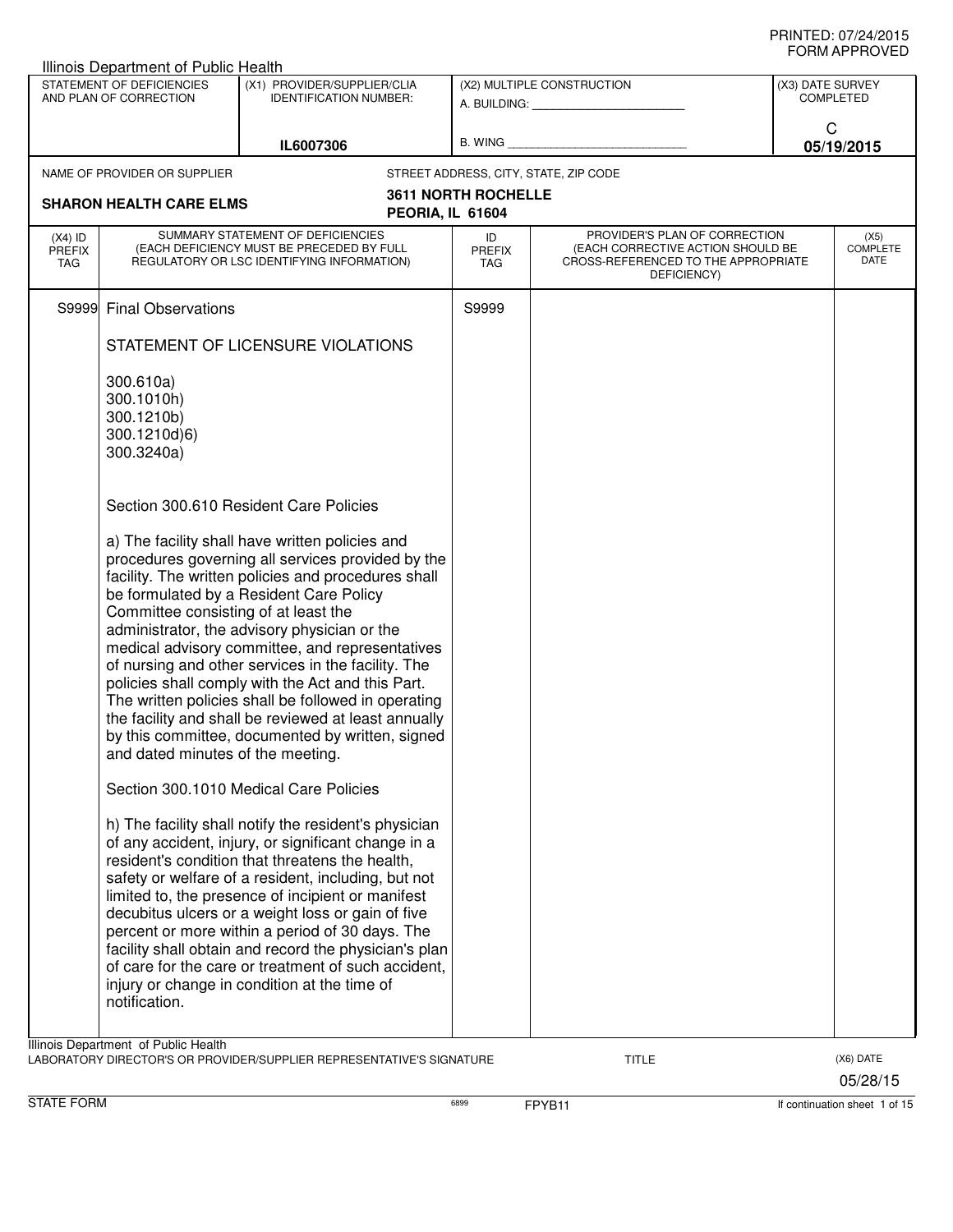|                                   | Illinois Department of Public Health                                |                                                                                                                                                                                                                                                                                                                                                                                                                                                                                                                                                                                                                              |                                   |                                                                                                                          |                  |                                 |
|-----------------------------------|---------------------------------------------------------------------|------------------------------------------------------------------------------------------------------------------------------------------------------------------------------------------------------------------------------------------------------------------------------------------------------------------------------------------------------------------------------------------------------------------------------------------------------------------------------------------------------------------------------------------------------------------------------------------------------------------------------|-----------------------------------|--------------------------------------------------------------------------------------------------------------------------|------------------|---------------------------------|
|                                   | STATEMENT OF DEFICIENCIES<br>AND PLAN OF CORRECTION                 | (X1) PROVIDER/SUPPLIER/CLIA<br><b>IDENTIFICATION NUMBER:</b>                                                                                                                                                                                                                                                                                                                                                                                                                                                                                                                                                                 |                                   | (X2) MULTIPLE CONSTRUCTION                                                                                               | (X3) DATE SURVEY | <b>COMPLETED</b>                |
|                                   |                                                                     | IL6007306                                                                                                                                                                                                                                                                                                                                                                                                                                                                                                                                                                                                                    | <b>B. WING</b>                    |                                                                                                                          | C                | 05/19/2015                      |
|                                   | NAME OF PROVIDER OR SUPPLIER                                        |                                                                                                                                                                                                                                                                                                                                                                                                                                                                                                                                                                                                                              |                                   | STREET ADDRESS, CITY, STATE, ZIP CODE                                                                                    |                  |                                 |
|                                   | <b>SHARON HEALTH CARE ELMS</b>                                      | PEORIA, IL 61604                                                                                                                                                                                                                                                                                                                                                                                                                                                                                                                                                                                                             | <b>3611 NORTH ROCHELLE</b>        |                                                                                                                          |                  |                                 |
| $(X4)$ ID<br><b>PREFIX</b><br>TAG |                                                                     | SUMMARY STATEMENT OF DEFICIENCIES<br>(EACH DEFICIENCY MUST BE PRECEDED BY FULL<br>REGULATORY OR LSC IDENTIFYING INFORMATION)                                                                                                                                                                                                                                                                                                                                                                                                                                                                                                 | ID<br><b>PREFIX</b><br><b>TAG</b> | PROVIDER'S PLAN OF CORRECTION<br>(EACH CORRECTIVE ACTION SHOULD BE<br>CROSS-REFERENCED TO THE APPROPRIATE<br>DEFICIENCY) |                  | (X5)<br><b>COMPLETE</b><br>DATE |
| S9999                             | <b>Final Observations</b>                                           |                                                                                                                                                                                                                                                                                                                                                                                                                                                                                                                                                                                                                              | S9999                             |                                                                                                                          |                  |                                 |
|                                   |                                                                     | STATEMENT OF LICENSURE VIOLATIONS                                                                                                                                                                                                                                                                                                                                                                                                                                                                                                                                                                                            |                                   |                                                                                                                          |                  |                                 |
|                                   | 300.610a)<br>300.1010h)<br>300.1210b)<br>300.1210d)6)<br>300.3240a) |                                                                                                                                                                                                                                                                                                                                                                                                                                                                                                                                                                                                                              |                                   |                                                                                                                          |                  |                                 |
|                                   |                                                                     | Section 300.610 Resident Care Policies                                                                                                                                                                                                                                                                                                                                                                                                                                                                                                                                                                                       |                                   |                                                                                                                          |                  |                                 |
|                                   | Committee consisting of at least the                                | a) The facility shall have written policies and<br>procedures governing all services provided by the<br>facility. The written policies and procedures shall<br>be formulated by a Resident Care Policy<br>administrator, the advisory physician or the<br>medical advisory committee, and representatives<br>of nursing and other services in the facility. The<br>policies shall comply with the Act and this Part.<br>The written policies shall be followed in operating<br>the facility and shall be reviewed at least annually<br>by this committee, documented by written, signed<br>and dated minutes of the meeting. |                                   |                                                                                                                          |                  |                                 |
|                                   |                                                                     | Section 300.1010 Medical Care Policies                                                                                                                                                                                                                                                                                                                                                                                                                                                                                                                                                                                       |                                   |                                                                                                                          |                  |                                 |
|                                   | notification.                                                       | h) The facility shall notify the resident's physician<br>of any accident, injury, or significant change in a<br>resident's condition that threatens the health,<br>safety or welfare of a resident, including, but not<br>limited to, the presence of incipient or manifest<br>decubitus ulcers or a weight loss or gain of five<br>percent or more within a period of 30 days. The<br>facility shall obtain and record the physician's plan<br>of care for the care or treatment of such accident,<br>injury or change in condition at the time of                                                                          |                                   |                                                                                                                          |                  |                                 |
|                                   | Illinois Department of Public Health                                | LABORATORY DIRECTOR'S OR PROVIDER/SUPPLIER REPRESENTATIVE'S SIGNATURE                                                                                                                                                                                                                                                                                                                                                                                                                                                                                                                                                        |                                   | <b>TITLE</b>                                                                                                             |                  | (X6) DATE<br>05/28/15           |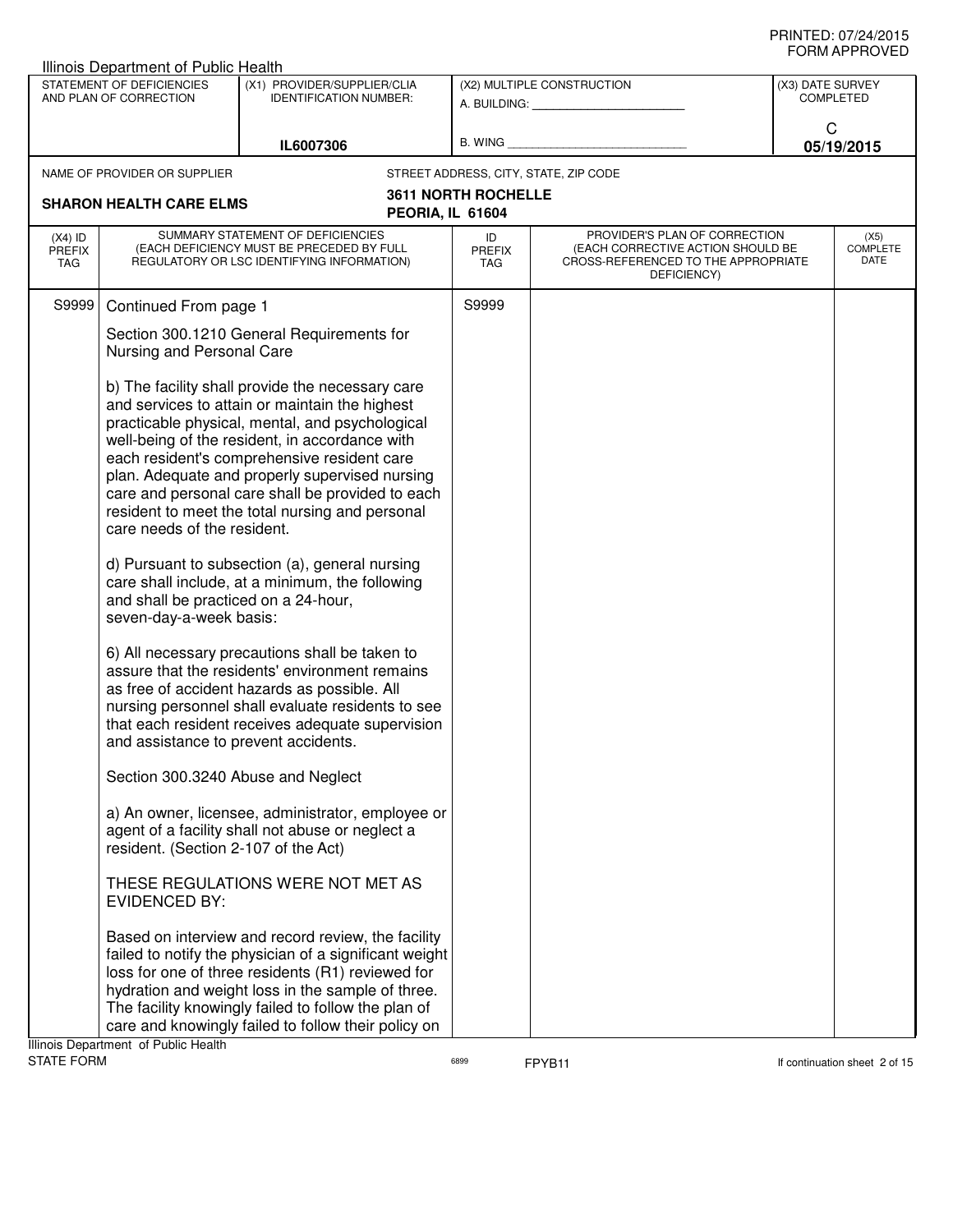| Illinois Department of Public Health |                                                                                                |                                                                                                                                                                                                                                                                                                                                                                                                                                                                                                                                                                                                                                                                          |                             |                                                                                                                          |                                      |                                 |
|--------------------------------------|------------------------------------------------------------------------------------------------|--------------------------------------------------------------------------------------------------------------------------------------------------------------------------------------------------------------------------------------------------------------------------------------------------------------------------------------------------------------------------------------------------------------------------------------------------------------------------------------------------------------------------------------------------------------------------------------------------------------------------------------------------------------------------|-----------------------------|--------------------------------------------------------------------------------------------------------------------------|--------------------------------------|---------------------------------|
|                                      | STATEMENT OF DEFICIENCIES<br>AND PLAN OF CORRECTION                                            | (X1) PROVIDER/SUPPLIER/CLIA<br><b>IDENTIFICATION NUMBER:</b>                                                                                                                                                                                                                                                                                                                                                                                                                                                                                                                                                                                                             |                             | (X2) MULTIPLE CONSTRUCTION                                                                                               | (X3) DATE SURVEY<br><b>COMPLETED</b> |                                 |
|                                      |                                                                                                |                                                                                                                                                                                                                                                                                                                                                                                                                                                                                                                                                                                                                                                                          |                             | A. BUILDING: A. BUILDING:                                                                                                |                                      |                                 |
|                                      |                                                                                                | IL6007306                                                                                                                                                                                                                                                                                                                                                                                                                                                                                                                                                                                                                                                                | B. WING                     |                                                                                                                          | C<br>05/19/2015                      |                                 |
|                                      | NAME OF PROVIDER OR SUPPLIER                                                                   |                                                                                                                                                                                                                                                                                                                                                                                                                                                                                                                                                                                                                                                                          |                             | STREET ADDRESS, CITY, STATE, ZIP CODE                                                                                    |                                      |                                 |
|                                      |                                                                                                |                                                                                                                                                                                                                                                                                                                                                                                                                                                                                                                                                                                                                                                                          | <b>3611 NORTH ROCHELLE</b>  |                                                                                                                          |                                      |                                 |
|                                      | <b>SHARON HEALTH CARE ELMS</b>                                                                 | PEORIA, IL 61604                                                                                                                                                                                                                                                                                                                                                                                                                                                                                                                                                                                                                                                         |                             |                                                                                                                          |                                      |                                 |
| $(X4)$ ID<br><b>PREFIX</b><br>TAG    |                                                                                                | SUMMARY STATEMENT OF DEFICIENCIES<br>(EACH DEFICIENCY MUST BE PRECEDED BY FULL<br>REGULATORY OR LSC IDENTIFYING INFORMATION)                                                                                                                                                                                                                                                                                                                                                                                                                                                                                                                                             | ID<br><b>PREFIX</b><br>TAG. | PROVIDER'S PLAN OF CORRECTION<br>(EACH CORRECTIVE ACTION SHOULD BE<br>CROSS-REFERENCED TO THE APPROPRIATE<br>DEFICIENCY) |                                      | (X5)<br><b>COMPLETE</b><br>DATE |
| S9999                                | Continued From page 1                                                                          |                                                                                                                                                                                                                                                                                                                                                                                                                                                                                                                                                                                                                                                                          | S9999                       |                                                                                                                          |                                      |                                 |
|                                      | Section 300.1210 General Requirements for<br>Nursing and Personal Care                         |                                                                                                                                                                                                                                                                                                                                                                                                                                                                                                                                                                                                                                                                          |                             |                                                                                                                          |                                      |                                 |
|                                      | care needs of the resident.<br>and shall be practiced on a 24-hour,<br>seven-day-a-week basis: | b) The facility shall provide the necessary care<br>and services to attain or maintain the highest<br>practicable physical, mental, and psychological<br>well-being of the resident, in accordance with<br>each resident's comprehensive resident care<br>plan. Adequate and properly supervised nursing<br>care and personal care shall be provided to each<br>resident to meet the total nursing and personal<br>d) Pursuant to subsection (a), general nursing<br>care shall include, at a minimum, the following<br>6) All necessary precautions shall be taken to<br>assure that the residents' environment remains<br>as free of accident hazards as possible. All |                             |                                                                                                                          |                                      |                                 |
|                                      | and assistance to prevent accidents.                                                           | nursing personnel shall evaluate residents to see<br>that each resident receives adequate supervision                                                                                                                                                                                                                                                                                                                                                                                                                                                                                                                                                                    |                             |                                                                                                                          |                                      |                                 |
|                                      | Section 300.3240 Abuse and Neglect                                                             |                                                                                                                                                                                                                                                                                                                                                                                                                                                                                                                                                                                                                                                                          |                             |                                                                                                                          |                                      |                                 |
|                                      | resident. (Section 2-107 of the Act)                                                           | a) An owner, licensee, administrator, employee or<br>agent of a facility shall not abuse or neglect a                                                                                                                                                                                                                                                                                                                                                                                                                                                                                                                                                                    |                             |                                                                                                                          |                                      |                                 |
|                                      | <b>EVIDENCED BY:</b>                                                                           | THESE REGULATIONS WERE NOT MET AS                                                                                                                                                                                                                                                                                                                                                                                                                                                                                                                                                                                                                                        |                             |                                                                                                                          |                                      |                                 |
|                                      | llinoin Donartmont, of Dublin Hoalth                                                           | Based on interview and record review, the facility<br>failed to notify the physician of a significant weight<br>loss for one of three residents (R1) reviewed for<br>hydration and weight loss in the sample of three.<br>The facility knowingly failed to follow the plan of<br>care and knowingly failed to follow their policy on                                                                                                                                                                                                                                                                                                                                     |                             |                                                                                                                          |                                      |                                 |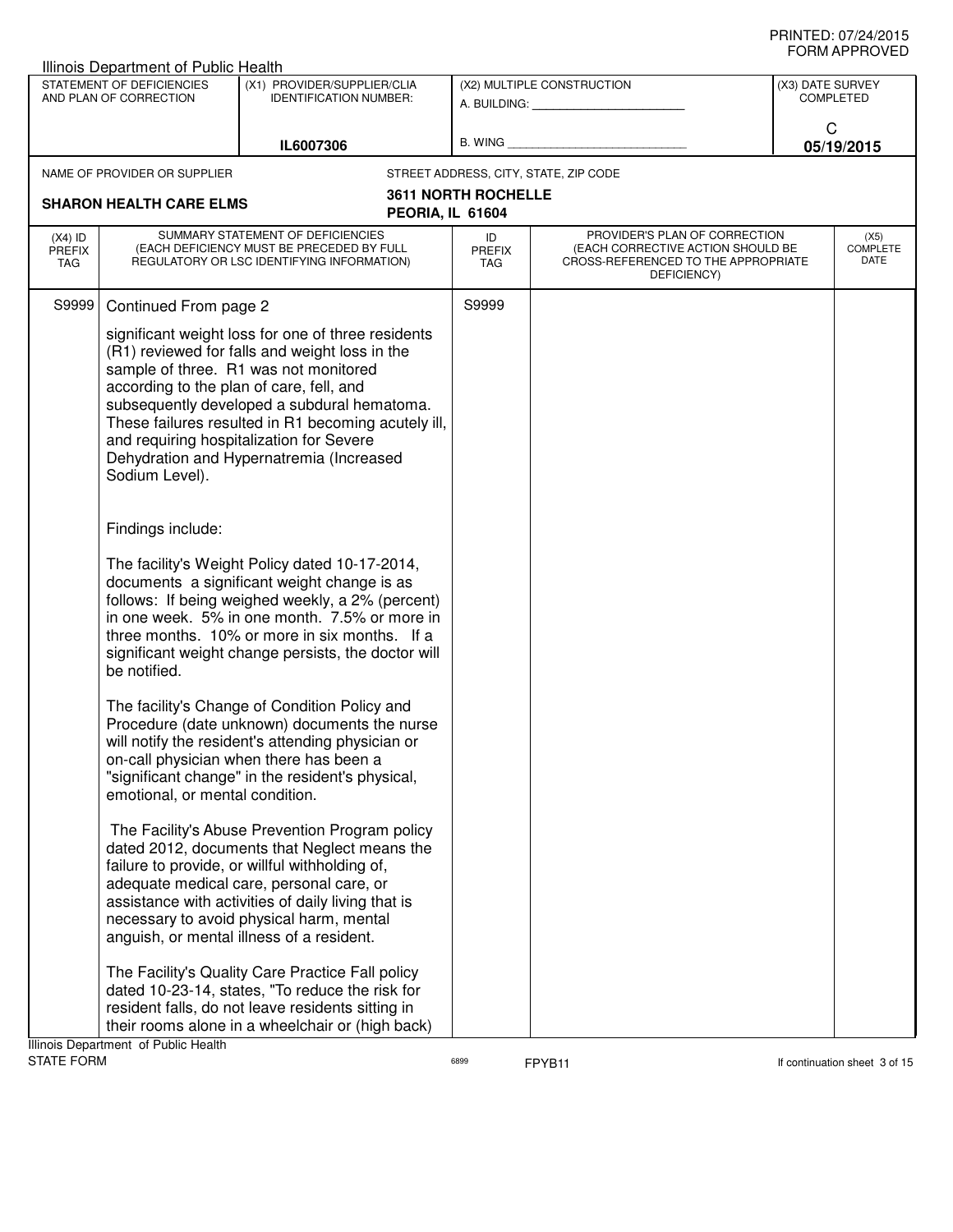|                                   | Illinois Department of Public Health                                                                                                                                                                                                                                                                                       |                                                                                                                                                                                                                                                                                                                                             |                                                                                                                                                        |                                                         |                                      |            |
|-----------------------------------|----------------------------------------------------------------------------------------------------------------------------------------------------------------------------------------------------------------------------------------------------------------------------------------------------------------------------|---------------------------------------------------------------------------------------------------------------------------------------------------------------------------------------------------------------------------------------------------------------------------------------------------------------------------------------------|--------------------------------------------------------------------------------------------------------------------------------------------------------|---------------------------------------------------------|--------------------------------------|------------|
|                                   | STATEMENT OF DEFICIENCIES<br>AND PLAN OF CORRECTION                                                                                                                                                                                                                                                                        | (X1) PROVIDER/SUPPLIER/CLIA<br><b>IDENTIFICATION NUMBER:</b>                                                                                                                                                                                                                                                                                |                                                                                                                                                        | (X2) MULTIPLE CONSTRUCTION<br>A. BUILDING: A. BUILDING: | (X3) DATE SURVEY<br><b>COMPLETED</b> |            |
|                                   |                                                                                                                                                                                                                                                                                                                            | IL6007306                                                                                                                                                                                                                                                                                                                                   | B. WING                                                                                                                                                |                                                         | C                                    | 05/19/2015 |
|                                   | NAME OF PROVIDER OR SUPPLIER                                                                                                                                                                                                                                                                                               |                                                                                                                                                                                                                                                                                                                                             |                                                                                                                                                        | STREET ADDRESS, CITY, STATE, ZIP CODE                   |                                      |            |
|                                   | <b>SHARON HEALTH CARE ELMS</b>                                                                                                                                                                                                                                                                                             | PEORIA, IL 61604                                                                                                                                                                                                                                                                                                                            | <b>3611 NORTH ROCHELLE</b>                                                                                                                             |                                                         |                                      |            |
| $(X4)$ ID<br><b>PREFIX</b><br>TAG | SUMMARY STATEMENT OF DEFICIENCIES<br>(EACH DEFICIENCY MUST BE PRECEDED BY FULL<br>REGULATORY OR LSC IDENTIFYING INFORMATION)                                                                                                                                                                                               |                                                                                                                                                                                                                                                                                                                                             | PROVIDER'S PLAN OF CORRECTION<br>ID<br>(EACH CORRECTIVE ACTION SHOULD BE<br><b>PREFIX</b><br>CROSS-REFERENCED TO THE APPROPRIATE<br>TAG<br>DEFICIENCY) |                                                         | (X5)<br><b>COMPLETE</b><br>DATE      |            |
| S9999                             | Continued From page 2                                                                                                                                                                                                                                                                                                      |                                                                                                                                                                                                                                                                                                                                             | S9999                                                                                                                                                  |                                                         |                                      |            |
|                                   | according to the plan of care, fell, and<br>Sodium Level).                                                                                                                                                                                                                                                                 | significant weight loss for one of three residents<br>(R1) reviewed for falls and weight loss in the<br>sample of three. R1 was not monitored<br>subsequently developed a subdural hematoma.<br>These failures resulted in R1 becoming acutely ill,<br>and requiring hospitalization for Severe<br>Dehydration and Hypernatremia (Increased |                                                                                                                                                        |                                                         |                                      |            |
|                                   | Findings include:                                                                                                                                                                                                                                                                                                          |                                                                                                                                                                                                                                                                                                                                             |                                                                                                                                                        |                                                         |                                      |            |
|                                   | The facility's Weight Policy dated 10-17-2014,<br>documents a significant weight change is as<br>follows: If being weighed weekly, a 2% (percent)<br>in one week. 5% in one month. 7.5% or more in<br>three months. 10% or more in six months. If a<br>significant weight change persists, the doctor will<br>be notified. |                                                                                                                                                                                                                                                                                                                                             |                                                                                                                                                        |                                                         |                                      |            |
|                                   | emotional, or mental condition.                                                                                                                                                                                                                                                                                            | The facility's Change of Condition Policy and<br>Procedure (date unknown) documents the nurse<br>will notify the resident's attending physician or<br>on-call physician when there has been a<br>"significant change" in the resident's physical,                                                                                           |                                                                                                                                                        |                                                         |                                      |            |
|                                   |                                                                                                                                                                                                                                                                                                                            | The Facility's Abuse Prevention Program policy<br>dated 2012, documents that Neglect means the<br>failure to provide, or willful withholding of,<br>adequate medical care, personal care, or<br>assistance with activities of daily living that is<br>necessary to avoid physical harm, mental<br>anguish, or mental illness of a resident. |                                                                                                                                                        |                                                         |                                      |            |
|                                   | Illinois Department of Public Health                                                                                                                                                                                                                                                                                       | The Facility's Quality Care Practice Fall policy<br>dated 10-23-14, states, "To reduce the risk for<br>resident falls, do not leave residents sitting in<br>their rooms alone in a wheelchair or (high back)                                                                                                                                |                                                                                                                                                        |                                                         |                                      |            |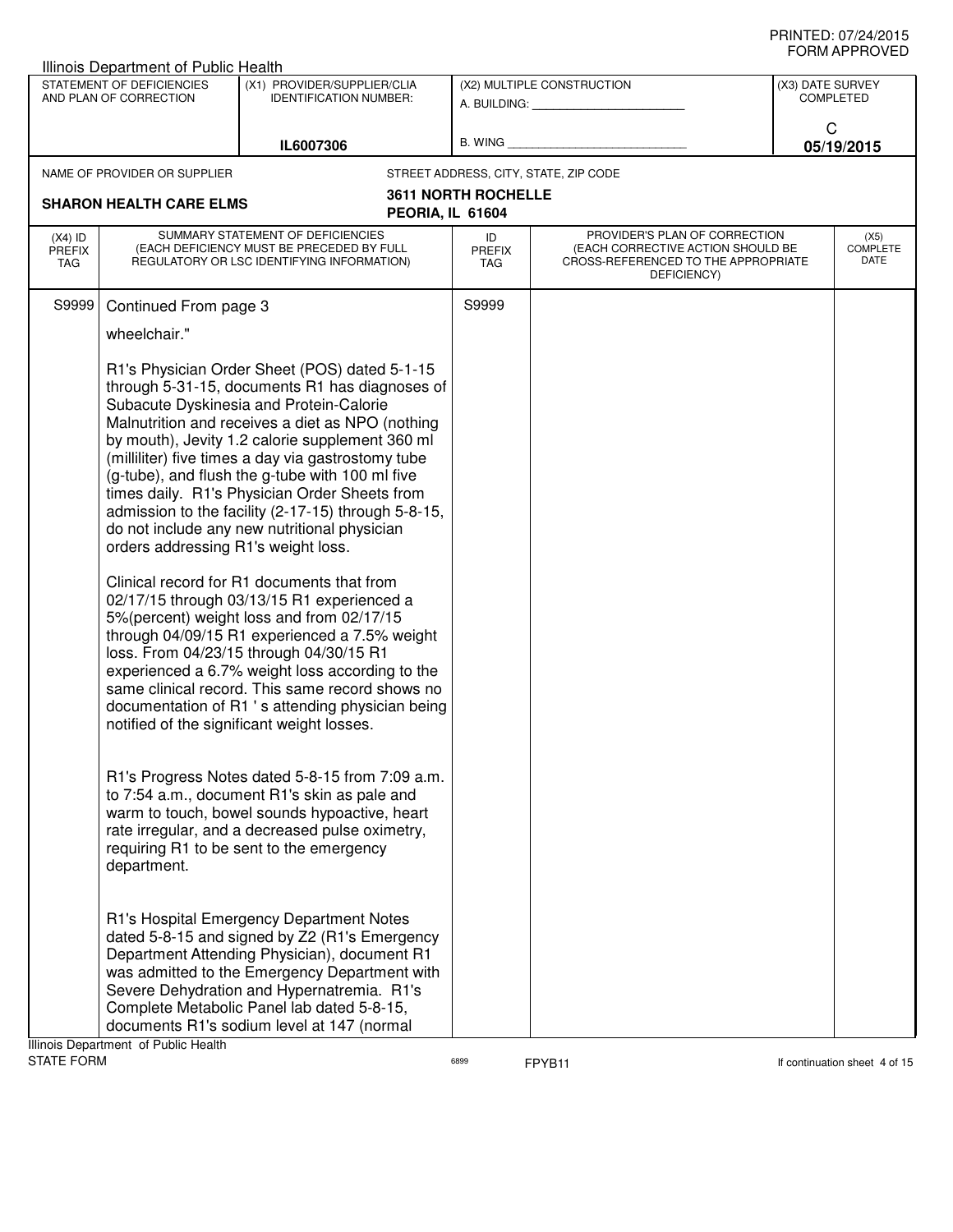| Illinois Department of Public Health |                                                     |                                                                                                                                                                                                                                                                                                                                                                                                                                                                                                                                                                                                                                                                                                                                                                                                                                                                                                                                                                 |                            |                                                                                                                          |   |                                      |
|--------------------------------------|-----------------------------------------------------|-----------------------------------------------------------------------------------------------------------------------------------------------------------------------------------------------------------------------------------------------------------------------------------------------------------------------------------------------------------------------------------------------------------------------------------------------------------------------------------------------------------------------------------------------------------------------------------------------------------------------------------------------------------------------------------------------------------------------------------------------------------------------------------------------------------------------------------------------------------------------------------------------------------------------------------------------------------------|----------------------------|--------------------------------------------------------------------------------------------------------------------------|---|--------------------------------------|
|                                      | STATEMENT OF DEFICIENCIES<br>AND PLAN OF CORRECTION | (X1) PROVIDER/SUPPLIER/CLIA<br><b>IDENTIFICATION NUMBER:</b>                                                                                                                                                                                                                                                                                                                                                                                                                                                                                                                                                                                                                                                                                                                                                                                                                                                                                                    |                            | (X2) MULTIPLE CONSTRUCTION<br>A. BUILDING: A. BUILDING:                                                                  |   | (X3) DATE SURVEY<br><b>COMPLETED</b> |
|                                      |                                                     | IL6007306                                                                                                                                                                                                                                                                                                                                                                                                                                                                                                                                                                                                                                                                                                                                                                                                                                                                                                                                                       |                            | B. WING <b>Example 20</b>                                                                                                | C | 05/19/2015                           |
|                                      | NAME OF PROVIDER OR SUPPLIER                        |                                                                                                                                                                                                                                                                                                                                                                                                                                                                                                                                                                                                                                                                                                                                                                                                                                                                                                                                                                 |                            | STREET ADDRESS, CITY, STATE, ZIP CODE                                                                                    |   |                                      |
|                                      | <b>SHARON HEALTH CARE ELMS</b>                      | PEORIA, IL 61604                                                                                                                                                                                                                                                                                                                                                                                                                                                                                                                                                                                                                                                                                                                                                                                                                                                                                                                                                | <b>3611 NORTH ROCHELLE</b> |                                                                                                                          |   |                                      |
| $(X4)$ ID<br><b>PREFIX</b><br>TAG    |                                                     | SUMMARY STATEMENT OF DEFICIENCIES<br>(EACH DEFICIENCY MUST BE PRECEDED BY FULL<br>REGULATORY OR LSC IDENTIFYING INFORMATION)                                                                                                                                                                                                                                                                                                                                                                                                                                                                                                                                                                                                                                                                                                                                                                                                                                    | ID<br>PREFIX<br>TAG        | PROVIDER'S PLAN OF CORRECTION<br>(EACH CORRECTIVE ACTION SHOULD BE<br>CROSS-REFERENCED TO THE APPROPRIATE<br>DEFICIENCY) |   | (X5)<br><b>COMPLETE</b><br>DATE      |
| S9999                                | Continued From page 3                               |                                                                                                                                                                                                                                                                                                                                                                                                                                                                                                                                                                                                                                                                                                                                                                                                                                                                                                                                                                 | S9999                      |                                                                                                                          |   |                                      |
|                                      | wheelchair."                                        |                                                                                                                                                                                                                                                                                                                                                                                                                                                                                                                                                                                                                                                                                                                                                                                                                                                                                                                                                                 |                            |                                                                                                                          |   |                                      |
|                                      | orders addressing R1's weight loss.                 | R1's Physician Order Sheet (POS) dated 5-1-15<br>through 5-31-15, documents R1 has diagnoses of<br>Subacute Dyskinesia and Protein-Calorie<br>Malnutrition and receives a diet as NPO (nothing<br>by mouth), Jevity 1.2 calorie supplement 360 ml<br>(milliliter) five times a day via gastrostomy tube<br>(g-tube), and flush the g-tube with 100 ml five<br>times daily. R1's Physician Order Sheets from<br>admission to the facility (2-17-15) through 5-8-15,<br>do not include any new nutritional physician<br>Clinical record for R1 documents that from<br>02/17/15 through 03/13/15 R1 experienced a<br>5%(percent) weight loss and from 02/17/15<br>through 04/09/15 R1 experienced a 7.5% weight<br>loss. From 04/23/15 through 04/30/15 R1<br>experienced a 6.7% weight loss according to the<br>same clinical record. This same record shows no<br>documentation of R1 's attending physician being<br>notified of the significant weight losses. |                            |                                                                                                                          |   |                                      |
|                                      | department.                                         | R1's Progress Notes dated 5-8-15 from 7:09 a.m.<br>to 7:54 a.m., document R1's skin as pale and<br>warm to touch, bowel sounds hypoactive, heart<br>rate irregular, and a decreased pulse oximetry,<br>requiring R1 to be sent to the emergency                                                                                                                                                                                                                                                                                                                                                                                                                                                                                                                                                                                                                                                                                                                 |                            |                                                                                                                          |   |                                      |
|                                      | Ilinoin Department, of Public Hoolth                | R1's Hospital Emergency Department Notes<br>dated 5-8-15 and signed by Z2 (R1's Emergency<br>Department Attending Physician), document R1<br>was admitted to the Emergency Department with<br>Severe Dehydration and Hypernatremia. R1's<br>Complete Metabolic Panel lab dated 5-8-15,<br>documents R1's sodium level at 147 (normal                                                                                                                                                                                                                                                                                                                                                                                                                                                                                                                                                                                                                            |                            |                                                                                                                          |   |                                      |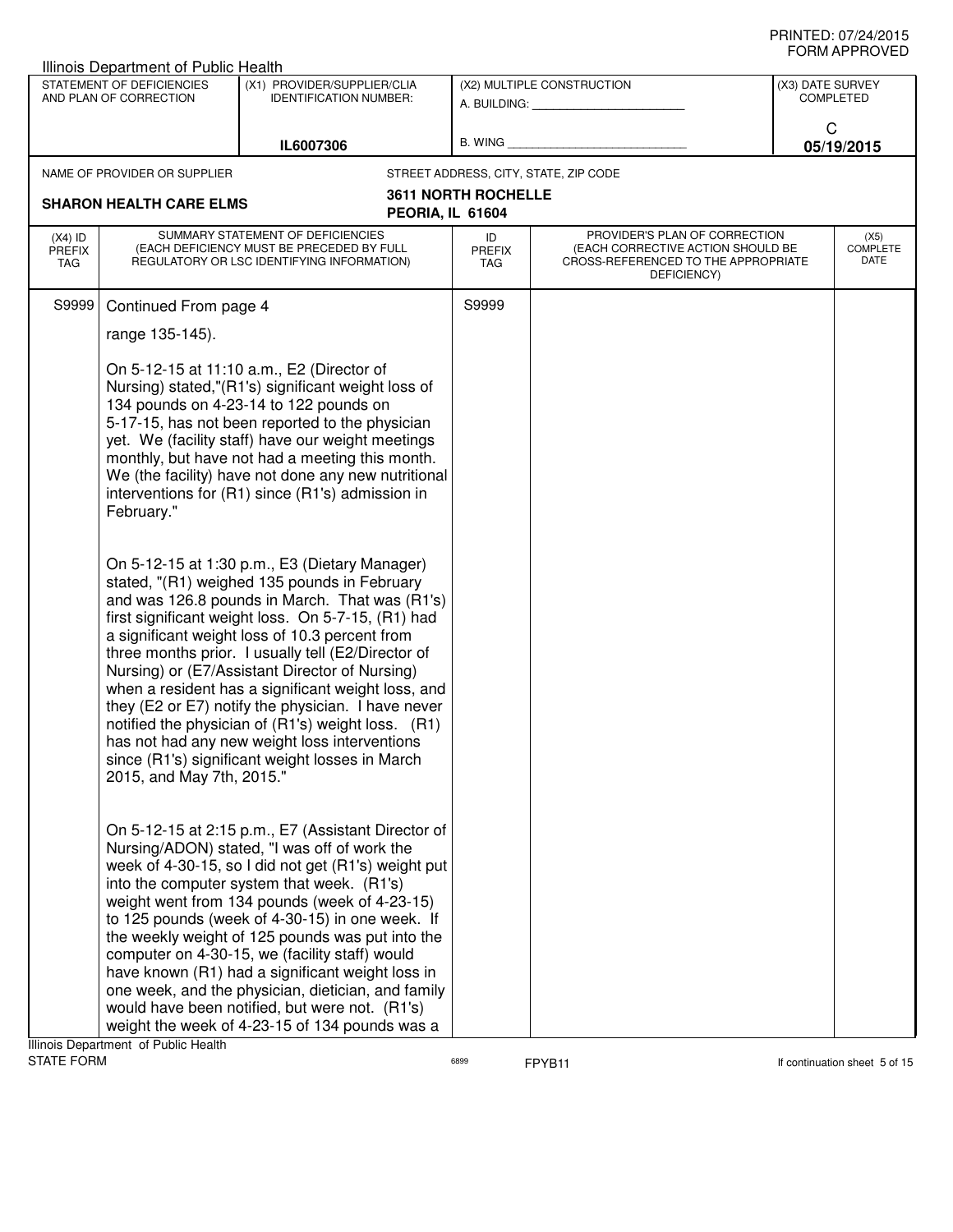| Illinois Department of Public Health |                                                     |                                                                                                                                                                                                                                                                                                                                                                                                                                                                                                                                                                                                                                       |                                   |                                                                                                                                              |                  | ◡੶┉灬 ─                   |
|--------------------------------------|-----------------------------------------------------|---------------------------------------------------------------------------------------------------------------------------------------------------------------------------------------------------------------------------------------------------------------------------------------------------------------------------------------------------------------------------------------------------------------------------------------------------------------------------------------------------------------------------------------------------------------------------------------------------------------------------------------|-----------------------------------|----------------------------------------------------------------------------------------------------------------------------------------------|------------------|--------------------------|
|                                      | STATEMENT OF DEFICIENCIES<br>AND PLAN OF CORRECTION | (X1) PROVIDER/SUPPLIER/CLIA<br><b>IDENTIFICATION NUMBER:</b>                                                                                                                                                                                                                                                                                                                                                                                                                                                                                                                                                                          |                                   | (X2) MULTIPLE CONSTRUCTION<br>A. BUILDING: A SALE AND THE SALE AND THE SALE AND THE SALE AND THE SALE AND THE SALE AND THE SALE AND THE SALE | (X3) DATE SURVEY | <b>COMPLETED</b>         |
|                                      |                                                     | IL6007306                                                                                                                                                                                                                                                                                                                                                                                                                                                                                                                                                                                                                             |                                   | B. WING <b>Example 2008</b>                                                                                                                  | C                | 05/19/2015               |
|                                      | NAME OF PROVIDER OR SUPPLIER                        |                                                                                                                                                                                                                                                                                                                                                                                                                                                                                                                                                                                                                                       |                                   | STREET ADDRESS, CITY, STATE, ZIP CODE                                                                                                        |                  |                          |
|                                      | <b>SHARON HEALTH CARE ELMS</b>                      | PEORIA, IL 61604                                                                                                                                                                                                                                                                                                                                                                                                                                                                                                                                                                                                                      | <b>3611 NORTH ROCHELLE</b>        |                                                                                                                                              |                  |                          |
| $(X4)$ ID<br><b>PREFIX</b><br>TAG    |                                                     | SUMMARY STATEMENT OF DEFICIENCIES<br>(EACH DEFICIENCY MUST BE PRECEDED BY FULL<br>REGULATORY OR LSC IDENTIFYING INFORMATION)                                                                                                                                                                                                                                                                                                                                                                                                                                                                                                          | ID<br><b>PREFIX</b><br><b>TAG</b> | PROVIDER'S PLAN OF CORRECTION<br>(EACH CORRECTIVE ACTION SHOULD BE<br>CROSS-REFERENCED TO THE APPROPRIATE<br>DEFICIENCY)                     |                  | (X5)<br>COMPLETE<br>DATE |
| S9999                                | Continued From page 4                               |                                                                                                                                                                                                                                                                                                                                                                                                                                                                                                                                                                                                                                       | S9999                             |                                                                                                                                              |                  |                          |
|                                      | range 135-145).                                     |                                                                                                                                                                                                                                                                                                                                                                                                                                                                                                                                                                                                                                       |                                   |                                                                                                                                              |                  |                          |
|                                      | February."                                          | On 5-12-15 at 11:10 a.m., E2 (Director of<br>Nursing) stated,"(R1's) significant weight loss of<br>134 pounds on 4-23-14 to 122 pounds on<br>5-17-15, has not been reported to the physician<br>yet. We (facility staff) have our weight meetings<br>monthly, but have not had a meeting this month.<br>We (the facility) have not done any new nutritional<br>interventions for (R1) since (R1's) admission in                                                                                                                                                                                                                       |                                   |                                                                                                                                              |                  |                          |
|                                      | 2015, and May 7th, 2015."                           | On 5-12-15 at 1:30 p.m., E3 (Dietary Manager)<br>stated, "(R1) weighed 135 pounds in February<br>and was 126.8 pounds in March. That was (R1's)<br>first significant weight loss. On 5-7-15, (R1) had<br>a significant weight loss of 10.3 percent from<br>three months prior. I usually tell (E2/Director of<br>Nursing) or (E7/Assistant Director of Nursing)<br>when a resident has a significant weight loss, and<br>they (E2 or E7) notify the physician. I have never<br>notified the physician of (R1's) weight loss. (R1)<br>has not had any new weight loss interventions<br>since (R1's) significant weight losses in March |                                   |                                                                                                                                              |                  |                          |
|                                      |                                                     | On 5-12-15 at 2:15 p.m., E7 (Assistant Director of<br>Nursing/ADON) stated, "I was off of work the<br>week of 4-30-15, so I did not get (R1's) weight put<br>into the computer system that week. (R1's)<br>weight went from 134 pounds (week of 4-23-15)<br>to 125 pounds (week of 4-30-15) in one week. If<br>the weekly weight of 125 pounds was put into the<br>computer on 4-30-15, we (facility staff) would<br>have known (R1) had a significant weight loss in<br>one week, and the physician, dietician, and family<br>would have been notified, but were not. (R1's)<br>weight the week of 4-23-15 of 134 pounds was a       |                                   |                                                                                                                                              |                  |                          |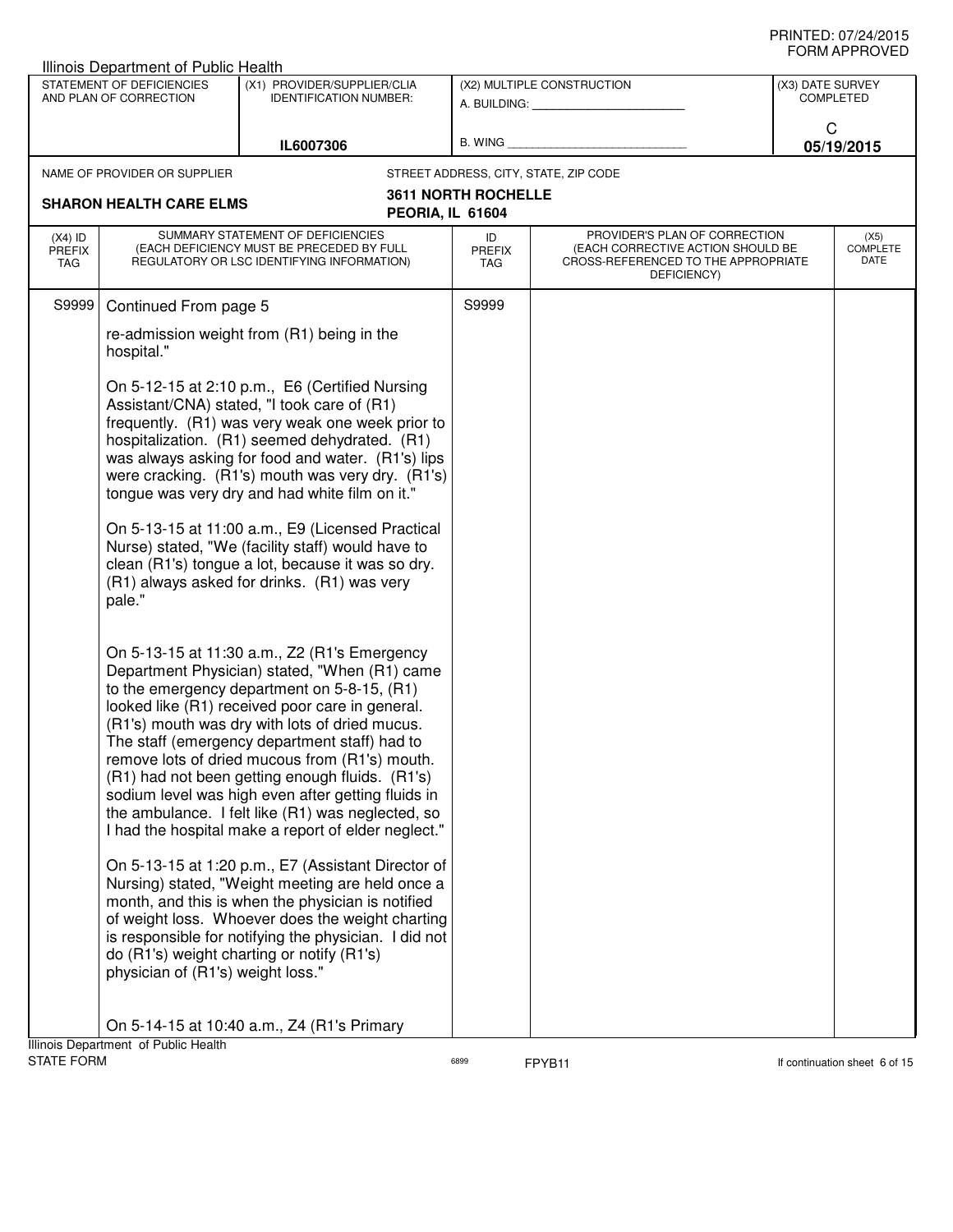|                                                    | Illinois Department of Public Health                |                                                                                                                                                                                                                                                                                                                                                                                                                                                                                                                                                                                                                                                                                                                                                                                                                                                                                                     |                            |                                                                                                                          |                                      |                                 |
|----------------------------------------------------|-----------------------------------------------------|-----------------------------------------------------------------------------------------------------------------------------------------------------------------------------------------------------------------------------------------------------------------------------------------------------------------------------------------------------------------------------------------------------------------------------------------------------------------------------------------------------------------------------------------------------------------------------------------------------------------------------------------------------------------------------------------------------------------------------------------------------------------------------------------------------------------------------------------------------------------------------------------------------|----------------------------|--------------------------------------------------------------------------------------------------------------------------|--------------------------------------|---------------------------------|
|                                                    | STATEMENT OF DEFICIENCIES<br>AND PLAN OF CORRECTION | (X1) PROVIDER/SUPPLIER/CLIA<br><b>IDENTIFICATION NUMBER:</b>                                                                                                                                                                                                                                                                                                                                                                                                                                                                                                                                                                                                                                                                                                                                                                                                                                        |                            | (X2) MULTIPLE CONSTRUCTION<br>A. BUILDING: A. BUILDING:                                                                  | (X3) DATE SURVEY<br><b>COMPLETED</b> |                                 |
|                                                    |                                                     | IL6007306                                                                                                                                                                                                                                                                                                                                                                                                                                                                                                                                                                                                                                                                                                                                                                                                                                                                                           | B. WING                    |                                                                                                                          | C                                    | 05/19/2015                      |
|                                                    | NAME OF PROVIDER OR SUPPLIER                        |                                                                                                                                                                                                                                                                                                                                                                                                                                                                                                                                                                                                                                                                                                                                                                                                                                                                                                     |                            | STREET ADDRESS, CITY, STATE, ZIP CODE                                                                                    |                                      |                                 |
| <b>SHARON HEALTH CARE ELMS</b><br>PEORIA, IL 61604 |                                                     | <b>3611 NORTH ROCHELLE</b>                                                                                                                                                                                                                                                                                                                                                                                                                                                                                                                                                                                                                                                                                                                                                                                                                                                                          |                            |                                                                                                                          |                                      |                                 |
| $(X4)$ ID<br><b>PREFIX</b><br>TAG                  |                                                     | SUMMARY STATEMENT OF DEFICIENCIES<br>(EACH DEFICIENCY MUST BE PRECEDED BY FULL<br>REGULATORY OR LSC IDENTIFYING INFORMATION)                                                                                                                                                                                                                                                                                                                                                                                                                                                                                                                                                                                                                                                                                                                                                                        | ID<br><b>PREFIX</b><br>TAG | PROVIDER'S PLAN OF CORRECTION<br>(EACH CORRECTIVE ACTION SHOULD BE<br>CROSS-REFERENCED TO THE APPROPRIATE<br>DEFICIENCY) |                                      | (X5)<br><b>COMPLETE</b><br>DATE |
| S9999                                              | Continued From page 5                               |                                                                                                                                                                                                                                                                                                                                                                                                                                                                                                                                                                                                                                                                                                                                                                                                                                                                                                     | S9999                      |                                                                                                                          |                                      |                                 |
|                                                    | hospital."                                          | re-admission weight from (R1) being in the                                                                                                                                                                                                                                                                                                                                                                                                                                                                                                                                                                                                                                                                                                                                                                                                                                                          |                            |                                                                                                                          |                                      |                                 |
|                                                    | pale."                                              | On 5-12-15 at 2:10 p.m., E6 (Certified Nursing<br>Assistant/CNA) stated, "I took care of (R1)<br>frequently. (R1) was very weak one week prior to<br>hospitalization. (R1) seemed dehydrated. (R1)<br>was always asking for food and water. (R1's) lips<br>were cracking. (R1's) mouth was very dry. (R1's)<br>tongue was very dry and had white film on it."<br>On 5-13-15 at 11:00 a.m., E9 (Licensed Practical<br>Nurse) stated, "We (facility staff) would have to<br>clean (R1's) tongue a lot, because it was so dry.<br>(R1) always asked for drinks. (R1) was very                                                                                                                                                                                                                                                                                                                          |                            |                                                                                                                          |                                      |                                 |
|                                                    | physician of (R1's) weight loss."                   | On 5-13-15 at 11:30 a.m., Z2 (R1's Emergency<br>Department Physician) stated, "When (R1) came<br>to the emergency department on 5-8-15, (R1)<br>looked like (R1) received poor care in general.<br>(R1's) mouth was dry with lots of dried mucus.<br>The staff (emergency department staff) had to<br>remove lots of dried mucous from (R1's) mouth.<br>(R1) had not been getting enough fluids. (R1's)<br>sodium level was high even after getting fluids in<br>the ambulance. I felt like (R1) was neglected, so<br>I had the hospital make a report of elder neglect."<br>On 5-13-15 at 1:20 p.m., E7 (Assistant Director of<br>Nursing) stated, "Weight meeting are held once a<br>month, and this is when the physician is notified<br>of weight loss. Whoever does the weight charting<br>is responsible for notifying the physician. I did not<br>do (R1's) weight charting or notify (R1's) |                            |                                                                                                                          |                                      |                                 |
|                                                    |                                                     | On 5-14-15 at 10:40 a.m., Z4 (R1's Primary                                                                                                                                                                                                                                                                                                                                                                                                                                                                                                                                                                                                                                                                                                                                                                                                                                                          |                            |                                                                                                                          |                                      |                                 |
|                                                    | Illinois Department of Public Health                |                                                                                                                                                                                                                                                                                                                                                                                                                                                                                                                                                                                                                                                                                                                                                                                                                                                                                                     |                            |                                                                                                                          |                                      |                                 |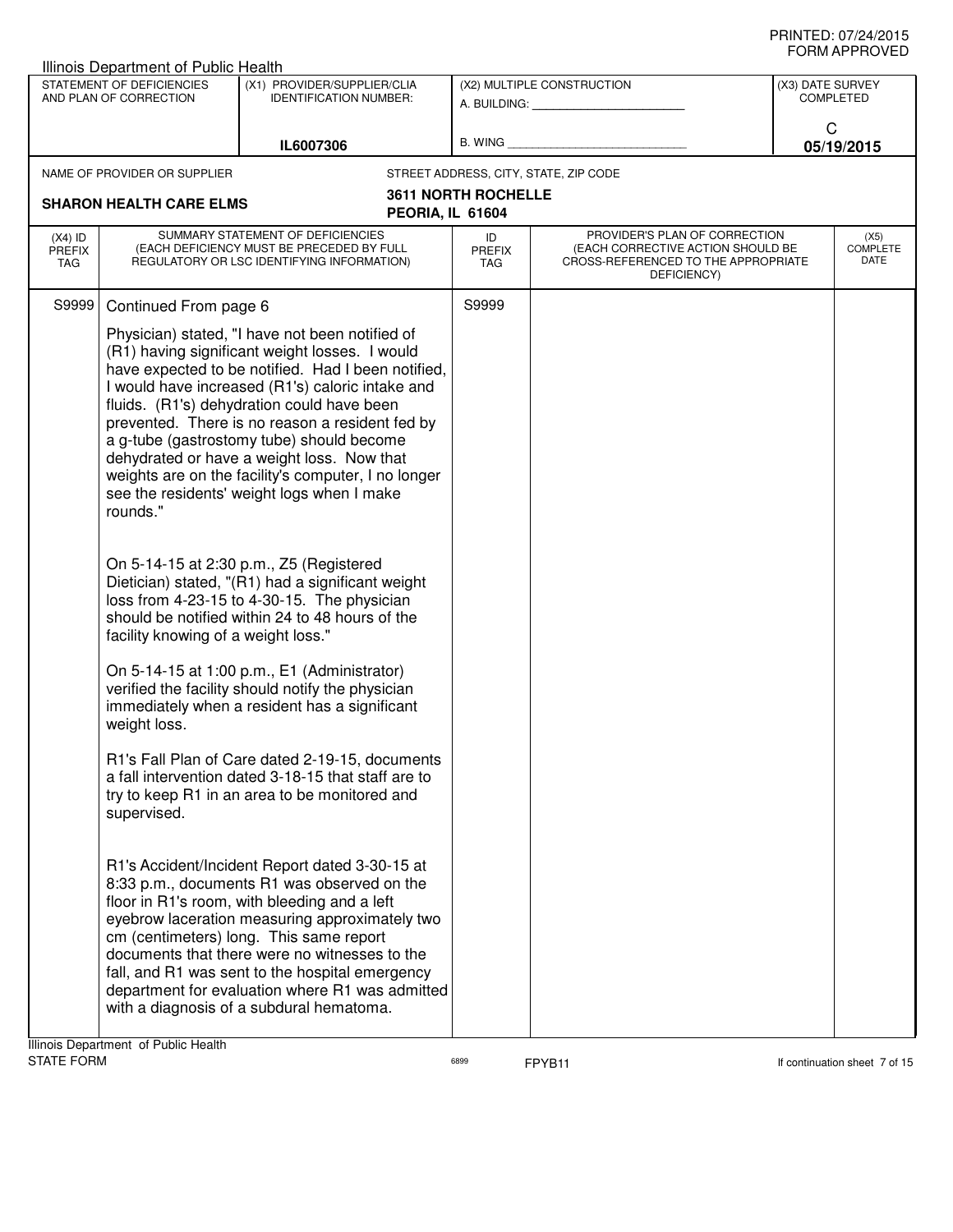|                                   | Illinois Department of Public Health                            |                                                                                                                                                                                                                                                                                                                                                                                                                                                                                                                                                                                                                                                                                                                                                                                                                                                                                                                                                                               |                            |                                                                                                                          |                                      |                                 |
|-----------------------------------|-----------------------------------------------------------------|-------------------------------------------------------------------------------------------------------------------------------------------------------------------------------------------------------------------------------------------------------------------------------------------------------------------------------------------------------------------------------------------------------------------------------------------------------------------------------------------------------------------------------------------------------------------------------------------------------------------------------------------------------------------------------------------------------------------------------------------------------------------------------------------------------------------------------------------------------------------------------------------------------------------------------------------------------------------------------|----------------------------|--------------------------------------------------------------------------------------------------------------------------|--------------------------------------|---------------------------------|
|                                   | STATEMENT OF DEFICIENCIES<br>AND PLAN OF CORRECTION             | (X1) PROVIDER/SUPPLIER/CLIA<br><b>IDENTIFICATION NUMBER:</b>                                                                                                                                                                                                                                                                                                                                                                                                                                                                                                                                                                                                                                                                                                                                                                                                                                                                                                                  | (X2) MULTIPLE CONSTRUCTION |                                                                                                                          | (X3) DATE SURVEY<br><b>COMPLETED</b> |                                 |
|                                   |                                                                 | IL6007306                                                                                                                                                                                                                                                                                                                                                                                                                                                                                                                                                                                                                                                                                                                                                                                                                                                                                                                                                                     |                            | B. WING <b>Example 20</b>                                                                                                | C                                    | 05/19/2015                      |
|                                   | NAME OF PROVIDER OR SUPPLIER                                    |                                                                                                                                                                                                                                                                                                                                                                                                                                                                                                                                                                                                                                                                                                                                                                                                                                                                                                                                                                               |                            | STREET ADDRESS, CITY, STATE, ZIP CODE                                                                                    |                                      |                                 |
|                                   | <b>SHARON HEALTH CARE ELMS</b>                                  | PEORIA, IL 61604                                                                                                                                                                                                                                                                                                                                                                                                                                                                                                                                                                                                                                                                                                                                                                                                                                                                                                                                                              | <b>3611 NORTH ROCHELLE</b> |                                                                                                                          |                                      |                                 |
| $(X4)$ ID<br><b>PREFIX</b><br>TAG |                                                                 | SUMMARY STATEMENT OF DEFICIENCIES<br>(EACH DEFICIENCY MUST BE PRECEDED BY FULL<br>REGULATORY OR LSC IDENTIFYING INFORMATION)                                                                                                                                                                                                                                                                                                                                                                                                                                                                                                                                                                                                                                                                                                                                                                                                                                                  | ID<br>PREFIX<br>TAG        | PROVIDER'S PLAN OF CORRECTION<br>(EACH CORRECTIVE ACTION SHOULD BE<br>CROSS-REFERENCED TO THE APPROPRIATE<br>DEFICIENCY) |                                      | (X5)<br><b>COMPLETE</b><br>DATE |
| S9999                             | Continued From page 6                                           |                                                                                                                                                                                                                                                                                                                                                                                                                                                                                                                                                                                                                                                                                                                                                                                                                                                                                                                                                                               | S9999                      |                                                                                                                          |                                      |                                 |
|                                   | rounds."<br>facility knowing of a weight loss."<br>weight loss. | Physician) stated, "I have not been notified of<br>(R1) having significant weight losses. I would<br>have expected to be notified. Had I been notified,<br>I would have increased (R1's) caloric intake and<br>fluids. (R1's) dehydration could have been<br>prevented. There is no reason a resident fed by<br>a g-tube (gastrostomy tube) should become<br>dehydrated or have a weight loss. Now that<br>weights are on the facility's computer, I no longer<br>see the residents' weight logs when I make<br>On 5-14-15 at 2:30 p.m., Z5 (Registered<br>Dietician) stated, "(R1) had a significant weight<br>loss from 4-23-15 to 4-30-15. The physician<br>should be notified within 24 to 48 hours of the<br>On 5-14-15 at 1:00 p.m., E1 (Administrator)<br>verified the facility should notify the physician<br>immediately when a resident has a significant<br>R1's Fall Plan of Care dated 2-19-15, documents<br>a fall intervention dated 3-18-15 that staff are to |                            |                                                                                                                          |                                      |                                 |
|                                   | supervised.                                                     | try to keep R1 in an area to be monitored and                                                                                                                                                                                                                                                                                                                                                                                                                                                                                                                                                                                                                                                                                                                                                                                                                                                                                                                                 |                            |                                                                                                                          |                                      |                                 |
|                                   |                                                                 | R1's Accident/Incident Report dated 3-30-15 at<br>8:33 p.m., documents R1 was observed on the<br>floor in R1's room, with bleeding and a left<br>eyebrow laceration measuring approximately two<br>cm (centimeters) long. This same report<br>documents that there were no witnesses to the<br>fall, and R1 was sent to the hospital emergency<br>department for evaluation where R1 was admitted<br>with a diagnosis of a subdural hematoma.                                                                                                                                                                                                                                                                                                                                                                                                                                                                                                                                 |                            |                                                                                                                          |                                      |                                 |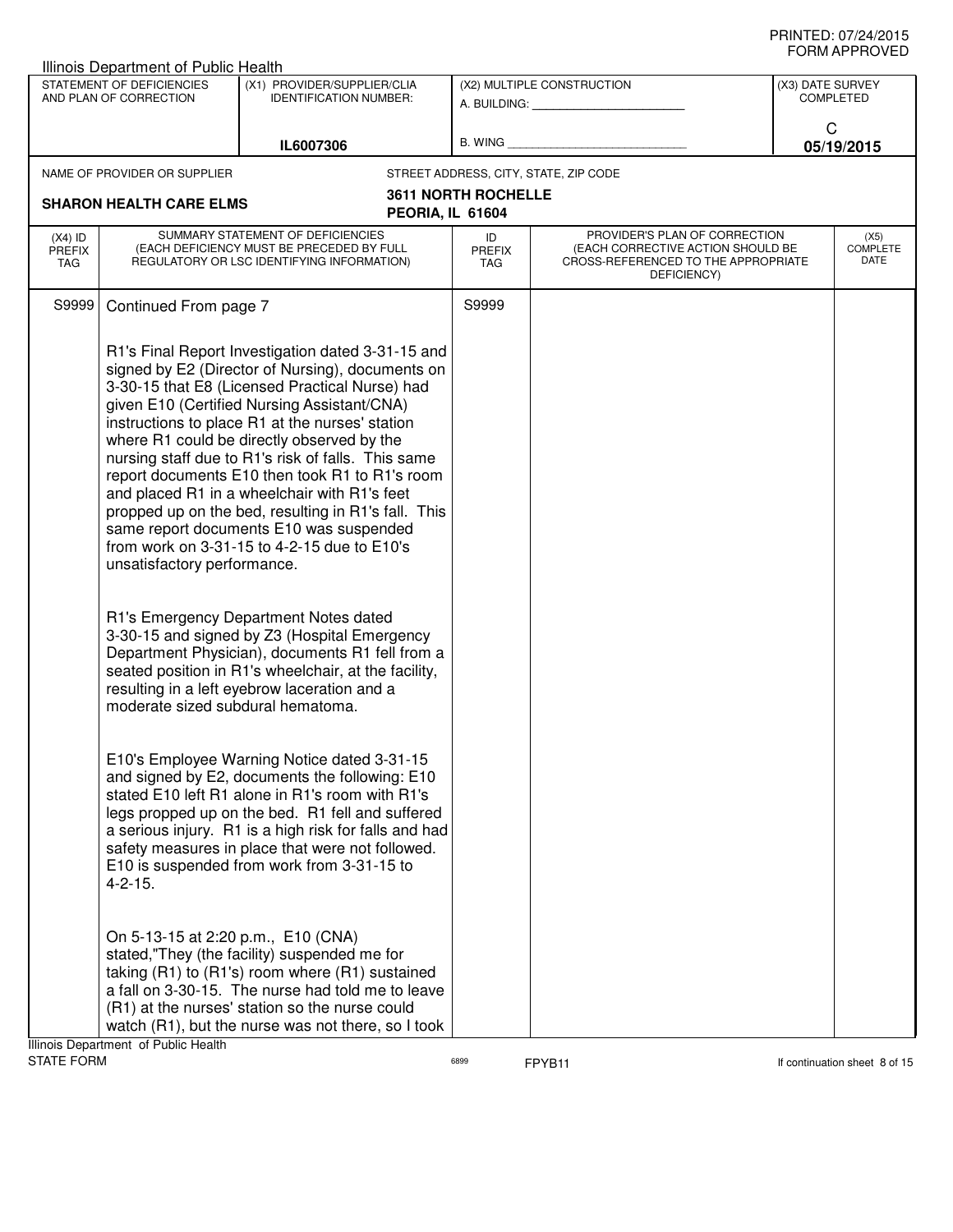| Illinois Department of Public Health               |                                                                             |                                                                                                                                                                                                                                                                                                                                                                                                                                                                                                                                                                                                                  |                                                         |                                                                                                                          |                                      |                                        |
|----------------------------------------------------|-----------------------------------------------------------------------------|------------------------------------------------------------------------------------------------------------------------------------------------------------------------------------------------------------------------------------------------------------------------------------------------------------------------------------------------------------------------------------------------------------------------------------------------------------------------------------------------------------------------------------------------------------------------------------------------------------------|---------------------------------------------------------|--------------------------------------------------------------------------------------------------------------------------|--------------------------------------|----------------------------------------|
|                                                    | STATEMENT OF DEFICIENCIES<br>AND PLAN OF CORRECTION                         | (X1) PROVIDER/SUPPLIER/CLIA<br><b>IDENTIFICATION NUMBER:</b>                                                                                                                                                                                                                                                                                                                                                                                                                                                                                                                                                     | (X2) MULTIPLE CONSTRUCTION<br>A. BUILDING: A. BUILDING: |                                                                                                                          | (X3) DATE SURVEY<br><b>COMPLETED</b> |                                        |
|                                                    |                                                                             | IL6007306                                                                                                                                                                                                                                                                                                                                                                                                                                                                                                                                                                                                        | <b>B. WING</b>                                          |                                                                                                                          | C                                    | 05/19/2015                             |
|                                                    | NAME OF PROVIDER OR SUPPLIER                                                |                                                                                                                                                                                                                                                                                                                                                                                                                                                                                                                                                                                                                  |                                                         | STREET ADDRESS, CITY, STATE, ZIP CODE                                                                                    |                                      |                                        |
| <b>SHARON HEALTH CARE ELMS</b><br>PEORIA, IL 61604 |                                                                             | <b>3611 NORTH ROCHELLE</b>                                                                                                                                                                                                                                                                                                                                                                                                                                                                                                                                                                                       |                                                         |                                                                                                                          |                                      |                                        |
| $(X4)$ ID<br><b>PREFIX</b><br>TAG                  |                                                                             | SUMMARY STATEMENT OF DEFICIENCIES<br>(EACH DEFICIENCY MUST BE PRECEDED BY FULL<br>REGULATORY OR LSC IDENTIFYING INFORMATION)                                                                                                                                                                                                                                                                                                                                                                                                                                                                                     | ID<br><b>PREFIX</b><br><b>TAG</b>                       | PROVIDER'S PLAN OF CORRECTION<br>(EACH CORRECTIVE ACTION SHOULD BE<br>CROSS-REFERENCED TO THE APPROPRIATE<br>DEFICIENCY) |                                      | (X5)<br><b>COMPLETE</b><br><b>DATE</b> |
| S9999                                              | Continued From page 7                                                       |                                                                                                                                                                                                                                                                                                                                                                                                                                                                                                                                                                                                                  | S9999                                                   |                                                                                                                          |                                      |                                        |
|                                                    | unsatisfactory performance.                                                 | R1's Final Report Investigation dated 3-31-15 and<br>signed by E2 (Director of Nursing), documents on<br>3-30-15 that E8 (Licensed Practical Nurse) had<br>given E10 (Certified Nursing Assistant/CNA)<br>instructions to place R1 at the nurses' station<br>where R1 could be directly observed by the<br>nursing staff due to R1's risk of falls. This same<br>report documents E10 then took R1 to R1's room<br>and placed R1 in a wheelchair with R1's feet<br>propped up on the bed, resulting in R1's fall. This<br>same report documents E10 was suspended<br>from work on 3-31-15 to 4-2-15 due to E10's |                                                         |                                                                                                                          |                                      |                                        |
|                                                    | moderate sized subdural hematoma.                                           | R1's Emergency Department Notes dated<br>3-30-15 and signed by Z3 (Hospital Emergency<br>Department Physician), documents R1 fell from a<br>seated position in R1's wheelchair, at the facility,<br>resulting in a left eyebrow laceration and a                                                                                                                                                                                                                                                                                                                                                                 |                                                         |                                                                                                                          |                                      |                                        |
|                                                    | $4 - 2 - 15$ .                                                              | E10's Employee Warning Notice dated 3-31-15<br>and signed by E2, documents the following: E10<br>stated E10 left R1 alone in R1's room with R1's<br>legs propped up on the bed. R1 fell and suffered<br>a serious injury. R1 is a high risk for falls and had<br>safety measures in place that were not followed.<br>E10 is suspended from work from 3-31-15 to                                                                                                                                                                                                                                                  |                                                         |                                                                                                                          |                                      |                                        |
|                                                    | On 5-13-15 at 2:20 p.m., E10 (CNA)<br>Illinois Department, of Public Health | stated,"They (the facility) suspended me for<br>taking (R1) to (R1's) room where (R1) sustained<br>a fall on 3-30-15. The nurse had told me to leave<br>(R1) at the nurses' station so the nurse could<br>watch (R1), but the nurse was not there, so I took                                                                                                                                                                                                                                                                                                                                                     |                                                         |                                                                                                                          |                                      |                                        |

Illinois Department of Public Health<br>STATE FORM

 $F$ <sup>6899</sup> **FPYB11** FFPYB11 **If continuation sheet 8 of 15**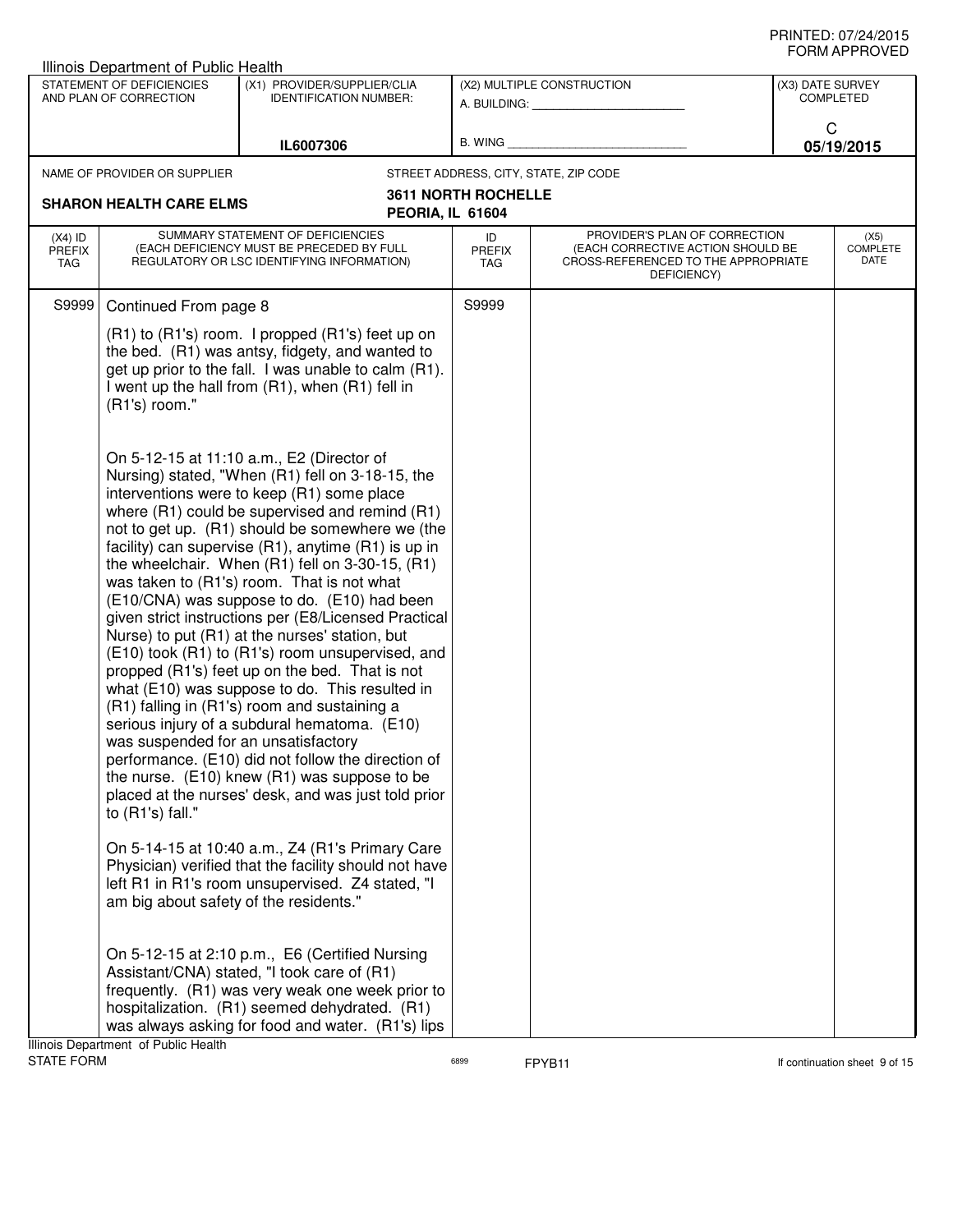|                                   | <b>Illinois Department of Public Health</b>                                                                                                  |                                                                                                                                                                                                                                                                                                                                                                                                                                                                                                                                                                                                                                                                                                                                                                                                                                                                                                                                                                                                                                                                                                                                                                                                                                                                                                                                                                                                                       |                            |                                                                                                                          |                  |                                 |
|-----------------------------------|----------------------------------------------------------------------------------------------------------------------------------------------|-----------------------------------------------------------------------------------------------------------------------------------------------------------------------------------------------------------------------------------------------------------------------------------------------------------------------------------------------------------------------------------------------------------------------------------------------------------------------------------------------------------------------------------------------------------------------------------------------------------------------------------------------------------------------------------------------------------------------------------------------------------------------------------------------------------------------------------------------------------------------------------------------------------------------------------------------------------------------------------------------------------------------------------------------------------------------------------------------------------------------------------------------------------------------------------------------------------------------------------------------------------------------------------------------------------------------------------------------------------------------------------------------------------------------|----------------------------|--------------------------------------------------------------------------------------------------------------------------|------------------|---------------------------------|
|                                   | STATEMENT OF DEFICIENCIES<br>AND PLAN OF CORRECTION                                                                                          | (X1) PROVIDER/SUPPLIER/CLIA<br><b>IDENTIFICATION NUMBER:</b>                                                                                                                                                                                                                                                                                                                                                                                                                                                                                                                                                                                                                                                                                                                                                                                                                                                                                                                                                                                                                                                                                                                                                                                                                                                                                                                                                          |                            | (X2) MULTIPLE CONSTRUCTION<br>A. BUILDING: A. BUILDING:                                                                  | (X3) DATE SURVEY | <b>COMPLETED</b>                |
|                                   |                                                                                                                                              | IL6007306                                                                                                                                                                                                                                                                                                                                                                                                                                                                                                                                                                                                                                                                                                                                                                                                                                                                                                                                                                                                                                                                                                                                                                                                                                                                                                                                                                                                             | B. WING                    |                                                                                                                          | C                | 05/19/2015                      |
|                                   | NAME OF PROVIDER OR SUPPLIER                                                                                                                 |                                                                                                                                                                                                                                                                                                                                                                                                                                                                                                                                                                                                                                                                                                                                                                                                                                                                                                                                                                                                                                                                                                                                                                                                                                                                                                                                                                                                                       |                            | STREET ADDRESS, CITY, STATE, ZIP CODE                                                                                    |                  |                                 |
|                                   | <b>SHARON HEALTH CARE ELMS</b>                                                                                                               | PEORIA, IL 61604                                                                                                                                                                                                                                                                                                                                                                                                                                                                                                                                                                                                                                                                                                                                                                                                                                                                                                                                                                                                                                                                                                                                                                                                                                                                                                                                                                                                      | <b>3611 NORTH ROCHELLE</b> |                                                                                                                          |                  |                                 |
| $(X4)$ ID<br><b>PREFIX</b><br>TAG |                                                                                                                                              | SUMMARY STATEMENT OF DEFICIENCIES<br>(EACH DEFICIENCY MUST BE PRECEDED BY FULL<br>REGULATORY OR LSC IDENTIFYING INFORMATION)                                                                                                                                                                                                                                                                                                                                                                                                                                                                                                                                                                                                                                                                                                                                                                                                                                                                                                                                                                                                                                                                                                                                                                                                                                                                                          | ID<br><b>PREFIX</b><br>TAG | PROVIDER'S PLAN OF CORRECTION<br>(EACH CORRECTIVE ACTION SHOULD BE<br>CROSS-REFERENCED TO THE APPROPRIATE<br>DEFICIENCY) |                  | (X5)<br><b>COMPLETE</b><br>DATE |
| S9999                             | Continued From page 8                                                                                                                        |                                                                                                                                                                                                                                                                                                                                                                                                                                                                                                                                                                                                                                                                                                                                                                                                                                                                                                                                                                                                                                                                                                                                                                                                                                                                                                                                                                                                                       | S9999                      |                                                                                                                          |                  |                                 |
|                                   | (R1's) room."                                                                                                                                | (R1) to (R1's) room. I propped (R1's) feet up on<br>the bed. (R1) was antsy, fidgety, and wanted to<br>get up prior to the fall. I was unable to calm (R1).<br>I went up the hall from (R1), when (R1) fell in                                                                                                                                                                                                                                                                                                                                                                                                                                                                                                                                                                                                                                                                                                                                                                                                                                                                                                                                                                                                                                                                                                                                                                                                        |                            |                                                                                                                          |                  |                                 |
|                                   | was suspended for an unsatisfactory<br>to $(R1's)$ fall."<br>am big about safety of the residents."<br>Illinois Department, of Public Health | On 5-12-15 at 11:10 a.m., E2 (Director of<br>Nursing) stated, "When (R1) fell on 3-18-15, the<br>interventions were to keep (R1) some place<br>where (R1) could be supervised and remind (R1)<br>not to get up. (R1) should be somewhere we (the<br>facility) can supervise (R1), anytime (R1) is up in<br>the wheelchair. When (R1) fell on 3-30-15, (R1)<br>was taken to (R1's) room. That is not what<br>(E10/CNA) was suppose to do. (E10) had been<br>given strict instructions per (E8/Licensed Practical<br>Nurse) to put (R1) at the nurses' station, but<br>(E10) took (R1) to (R1's) room unsupervised, and<br>propped (R1's) feet up on the bed. That is not<br>what (E10) was suppose to do. This resulted in<br>(R1) falling in (R1's) room and sustaining a<br>serious injury of a subdural hematoma. (E10)<br>performance. (E10) did not follow the direction of<br>the nurse. $(E10)$ knew $(R1)$ was suppose to be<br>placed at the nurses' desk, and was just told prior<br>On 5-14-15 at 10:40 a.m., Z4 (R1's Primary Care<br>Physician) verified that the facility should not have<br>left R1 in R1's room unsupervised. Z4 stated, "I<br>On 5-12-15 at 2:10 p.m., E6 (Certified Nursing<br>Assistant/CNA) stated, "I took care of (R1)<br>frequently. (R1) was very weak one week prior to<br>hospitalization. (R1) seemed dehydrated. (R1)<br>was always asking for food and water. (R1's) lips |                            |                                                                                                                          |                  |                                 |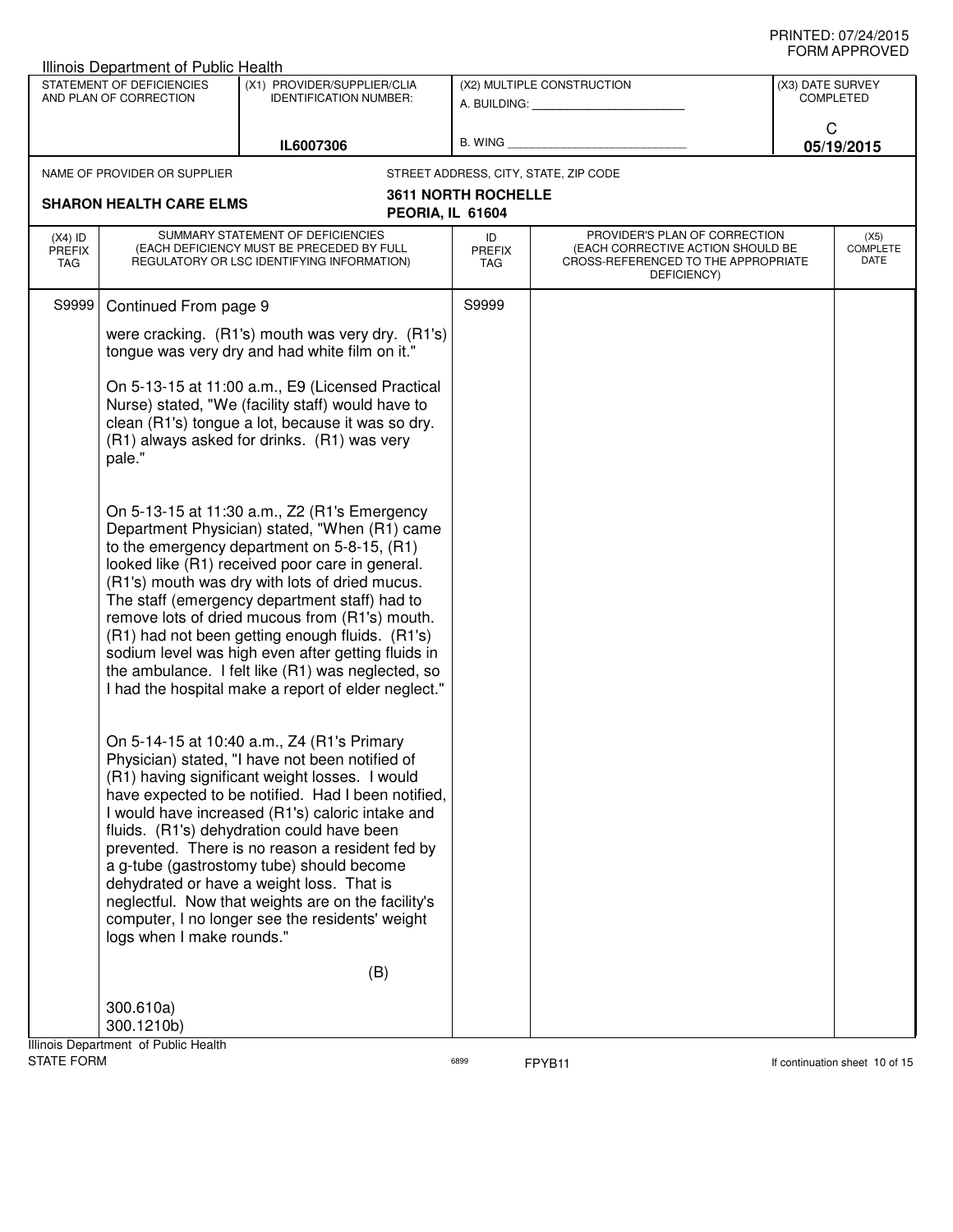|                                   | Illinois Department of Public Health                |                                                                                                                                                                                                                                                                                                                                                                                                                                                                                                                                                                           |                            |                                                                                                                          |                  |                                 |
|-----------------------------------|-----------------------------------------------------|---------------------------------------------------------------------------------------------------------------------------------------------------------------------------------------------------------------------------------------------------------------------------------------------------------------------------------------------------------------------------------------------------------------------------------------------------------------------------------------------------------------------------------------------------------------------------|----------------------------|--------------------------------------------------------------------------------------------------------------------------|------------------|---------------------------------|
|                                   | STATEMENT OF DEFICIENCIES<br>AND PLAN OF CORRECTION | (X1) PROVIDER/SUPPLIER/CLIA<br><b>IDENTIFICATION NUMBER:</b>                                                                                                                                                                                                                                                                                                                                                                                                                                                                                                              |                            | (X2) MULTIPLE CONSTRUCTION<br>A. BUILDING: A. BUILDING:                                                                  | (X3) DATE SURVEY | <b>COMPLETED</b>                |
|                                   |                                                     | IL6007306                                                                                                                                                                                                                                                                                                                                                                                                                                                                                                                                                                 | B. WING                    |                                                                                                                          | C                | 05/19/2015                      |
|                                   | NAME OF PROVIDER OR SUPPLIER                        |                                                                                                                                                                                                                                                                                                                                                                                                                                                                                                                                                                           |                            | STREET ADDRESS, CITY, STATE, ZIP CODE                                                                                    |                  |                                 |
|                                   | <b>SHARON HEALTH CARE ELMS</b>                      |                                                                                                                                                                                                                                                                                                                                                                                                                                                                                                                                                                           | <b>3611 NORTH ROCHELLE</b> |                                                                                                                          |                  |                                 |
|                                   |                                                     | PEORIA, IL 61604                                                                                                                                                                                                                                                                                                                                                                                                                                                                                                                                                          |                            |                                                                                                                          |                  |                                 |
| $(X4)$ ID<br><b>PREFIX</b><br>TAG |                                                     | SUMMARY STATEMENT OF DEFICIENCIES<br>(EACH DEFICIENCY MUST BE PRECEDED BY FULL<br>REGULATORY OR LSC IDENTIFYING INFORMATION)                                                                                                                                                                                                                                                                                                                                                                                                                                              | ID<br><b>PREFIX</b><br>TAG | PROVIDER'S PLAN OF CORRECTION<br>(EACH CORRECTIVE ACTION SHOULD BE<br>CROSS-REFERENCED TO THE APPROPRIATE<br>DEFICIENCY) |                  | (X5)<br><b>COMPLETE</b><br>DATE |
| S9999                             | Continued From page 9                               |                                                                                                                                                                                                                                                                                                                                                                                                                                                                                                                                                                           | S9999                      |                                                                                                                          |                  |                                 |
|                                   |                                                     | were cracking. (R1's) mouth was very dry. (R1's)<br>tongue was very dry and had white film on it."                                                                                                                                                                                                                                                                                                                                                                                                                                                                        |                            |                                                                                                                          |                  |                                 |
|                                   | pale."                                              | On 5-13-15 at 11:00 a.m., E9 (Licensed Practical<br>Nurse) stated, "We (facility staff) would have to<br>clean (R1's) tongue a lot, because it was so dry.<br>(R1) always asked for drinks. (R1) was very                                                                                                                                                                                                                                                                                                                                                                 |                            |                                                                                                                          |                  |                                 |
|                                   |                                                     | On 5-13-15 at 11:30 a.m., Z2 (R1's Emergency<br>Department Physician) stated, "When (R1) came<br>to the emergency department on 5-8-15, (R1)<br>looked like (R1) received poor care in general.<br>(R1's) mouth was dry with lots of dried mucus.<br>The staff (emergency department staff) had to<br>remove lots of dried mucous from (R1's) mouth.<br>(R1) had not been getting enough fluids. (R1's)<br>sodium level was high even after getting fluids in<br>the ambulance. I felt like (R1) was neglected, so<br>I had the hospital make a report of elder neglect." |                            |                                                                                                                          |                  |                                 |
|                                   | logs when I make rounds."                           | On 5-14-15 at 10:40 a.m., Z4 (R1's Primary<br>Physician) stated, "I have not been notified of<br>(R1) having significant weight losses. I would<br>have expected to be notified. Had I been notified,<br>I would have increased (R1's) caloric intake and<br>fluids. (R1's) dehydration could have been<br>prevented. There is no reason a resident fed by<br>a g-tube (gastrostomy tube) should become<br>dehydrated or have a weight loss. That is<br>neglectful. Now that weights are on the facility's<br>computer, I no longer see the residents' weight             |                            |                                                                                                                          |                  |                                 |
|                                   |                                                     | (B)                                                                                                                                                                                                                                                                                                                                                                                                                                                                                                                                                                       |                            |                                                                                                                          |                  |                                 |
|                                   | 300.610a)<br>300.1210b)                             |                                                                                                                                                                                                                                                                                                                                                                                                                                                                                                                                                                           |                            |                                                                                                                          |                  |                                 |
| <b>STATE FORM</b>                 | Illinois Department of Public Health                |                                                                                                                                                                                                                                                                                                                                                                                                                                                                                                                                                                           | 6899                       | FPYB11                                                                                                                   |                  | If continuation sheet 10 of 15  |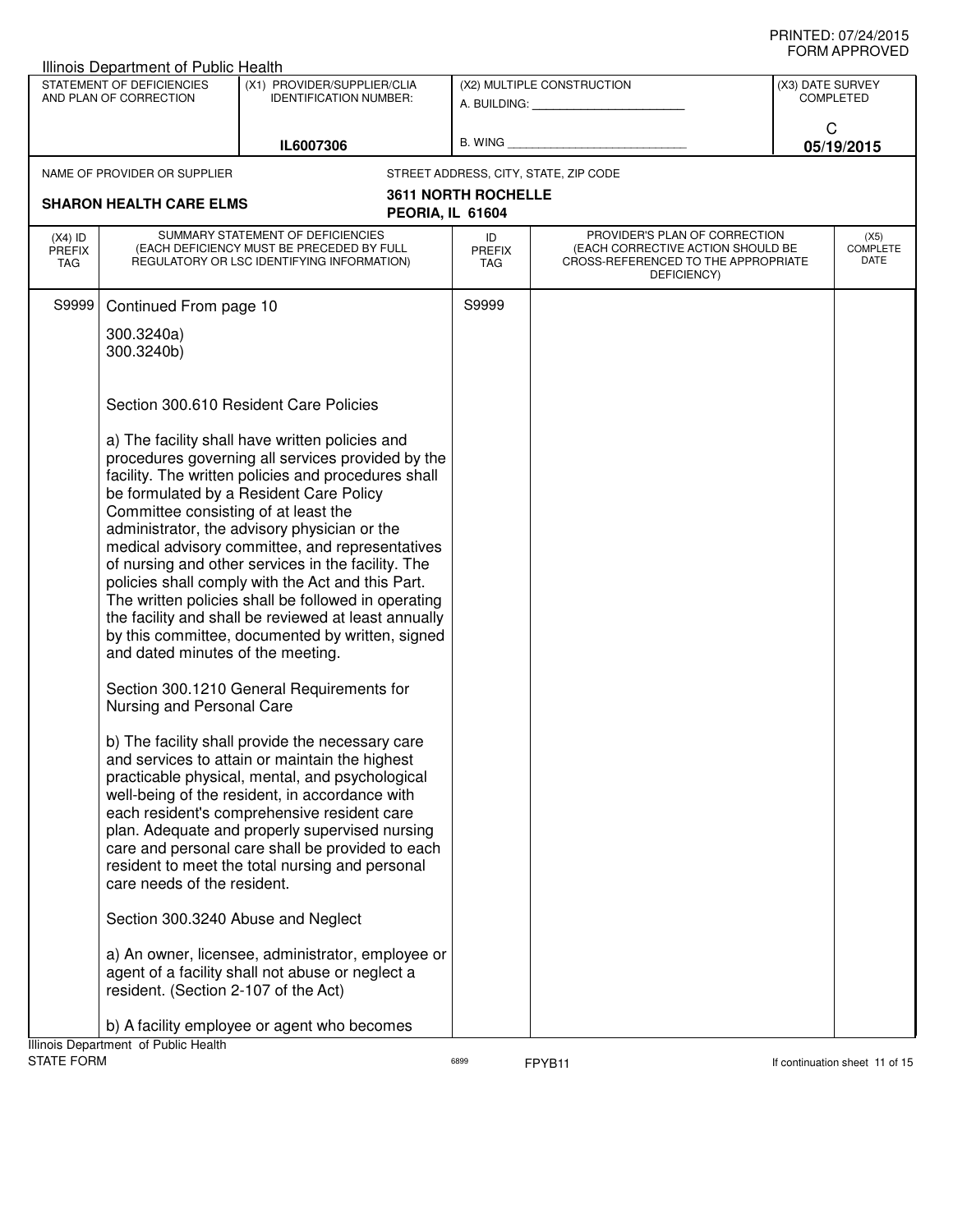| Illinois Department of Public Health                                      |                                                                                                                                                                                                                                                                                                                                                                                                                                                                                                                                                                                         |                            |                                                                                                                          |                  |                                 |
|---------------------------------------------------------------------------|-----------------------------------------------------------------------------------------------------------------------------------------------------------------------------------------------------------------------------------------------------------------------------------------------------------------------------------------------------------------------------------------------------------------------------------------------------------------------------------------------------------------------------------------------------------------------------------------|----------------------------|--------------------------------------------------------------------------------------------------------------------------|------------------|---------------------------------|
| STATEMENT OF DEFICIENCIES<br>AND PLAN OF CORRECTION                       | (X1) PROVIDER/SUPPLIER/CLIA<br><b>IDENTIFICATION NUMBER:</b>                                                                                                                                                                                                                                                                                                                                                                                                                                                                                                                            |                            | (X2) MULTIPLE CONSTRUCTION<br>A. BUILDING: A. BUILDING:                                                                  | (X3) DATE SURVEY | <b>COMPLETED</b>                |
|                                                                           | IL6007306                                                                                                                                                                                                                                                                                                                                                                                                                                                                                                                                                                               | B. WING                    |                                                                                                                          |                  | C<br>05/19/2015                 |
| NAME OF PROVIDER OR SUPPLIER                                              |                                                                                                                                                                                                                                                                                                                                                                                                                                                                                                                                                                                         |                            | STREET ADDRESS, CITY, STATE, ZIP CODE                                                                                    |                  |                                 |
| <b>SHARON HEALTH CARE ELMS</b><br>PEORIA, IL 61604                        |                                                                                                                                                                                                                                                                                                                                                                                                                                                                                                                                                                                         | <b>3611 NORTH ROCHELLE</b> |                                                                                                                          |                  |                                 |
| $(X4)$ ID<br><b>PREFIX</b><br>TAG                                         | SUMMARY STATEMENT OF DEFICIENCIES<br>(EACH DEFICIENCY MUST BE PRECEDED BY FULL<br>REGULATORY OR LSC IDENTIFYING INFORMATION)                                                                                                                                                                                                                                                                                                                                                                                                                                                            | ID<br><b>PREFIX</b><br>TAG | PROVIDER'S PLAN OF CORRECTION<br>(EACH CORRECTIVE ACTION SHOULD BE<br>CROSS-REFERENCED TO THE APPROPRIATE<br>DEFICIENCY) |                  | (X5)<br><b>COMPLETE</b><br>DATE |
| S9999<br>Continued From page 10                                           |                                                                                                                                                                                                                                                                                                                                                                                                                                                                                                                                                                                         | S9999                      |                                                                                                                          |                  |                                 |
| 300.3240a)<br>300.3240b)                                                  |                                                                                                                                                                                                                                                                                                                                                                                                                                                                                                                                                                                         |                            |                                                                                                                          |                  |                                 |
|                                                                           | Section 300.610 Resident Care Policies                                                                                                                                                                                                                                                                                                                                                                                                                                                                                                                                                  |                            |                                                                                                                          |                  |                                 |
| Committee consisting of at least the<br>and dated minutes of the meeting. | a) The facility shall have written policies and<br>procedures governing all services provided by the<br>facility. The written policies and procedures shall<br>be formulated by a Resident Care Policy<br>administrator, the advisory physician or the<br>medical advisory committee, and representatives<br>of nursing and other services in the facility. The<br>policies shall comply with the Act and this Part.<br>The written policies shall be followed in operating<br>the facility and shall be reviewed at least annually<br>by this committee, documented by written, signed |                            |                                                                                                                          |                  |                                 |
| Nursing and Personal Care                                                 | Section 300.1210 General Requirements for                                                                                                                                                                                                                                                                                                                                                                                                                                                                                                                                               |                            |                                                                                                                          |                  |                                 |
| care needs of the resident.                                               | b) The facility shall provide the necessary care<br>and services to attain or maintain the highest<br>practicable physical, mental, and psychological<br>well-being of the resident, in accordance with<br>each resident's comprehensive resident care<br>plan. Adequate and properly supervised nursing<br>care and personal care shall be provided to each<br>resident to meet the total nursing and personal<br>Section 300.3240 Abuse and Neglect                                                                                                                                   |                            |                                                                                                                          |                  |                                 |
|                                                                           | a) An owner, licensee, administrator, employee or<br>agent of a facility shall not abuse or neglect a                                                                                                                                                                                                                                                                                                                                                                                                                                                                                   |                            |                                                                                                                          |                  |                                 |
| resident. (Section 2-107 of the Act)                                      |                                                                                                                                                                                                                                                                                                                                                                                                                                                                                                                                                                                         |                            |                                                                                                                          |                  |                                 |
| Illinois Department of Public Health                                      | b) A facility employee or agent who becomes                                                                                                                                                                                                                                                                                                                                                                                                                                                                                                                                             |                            |                                                                                                                          |                  |                                 |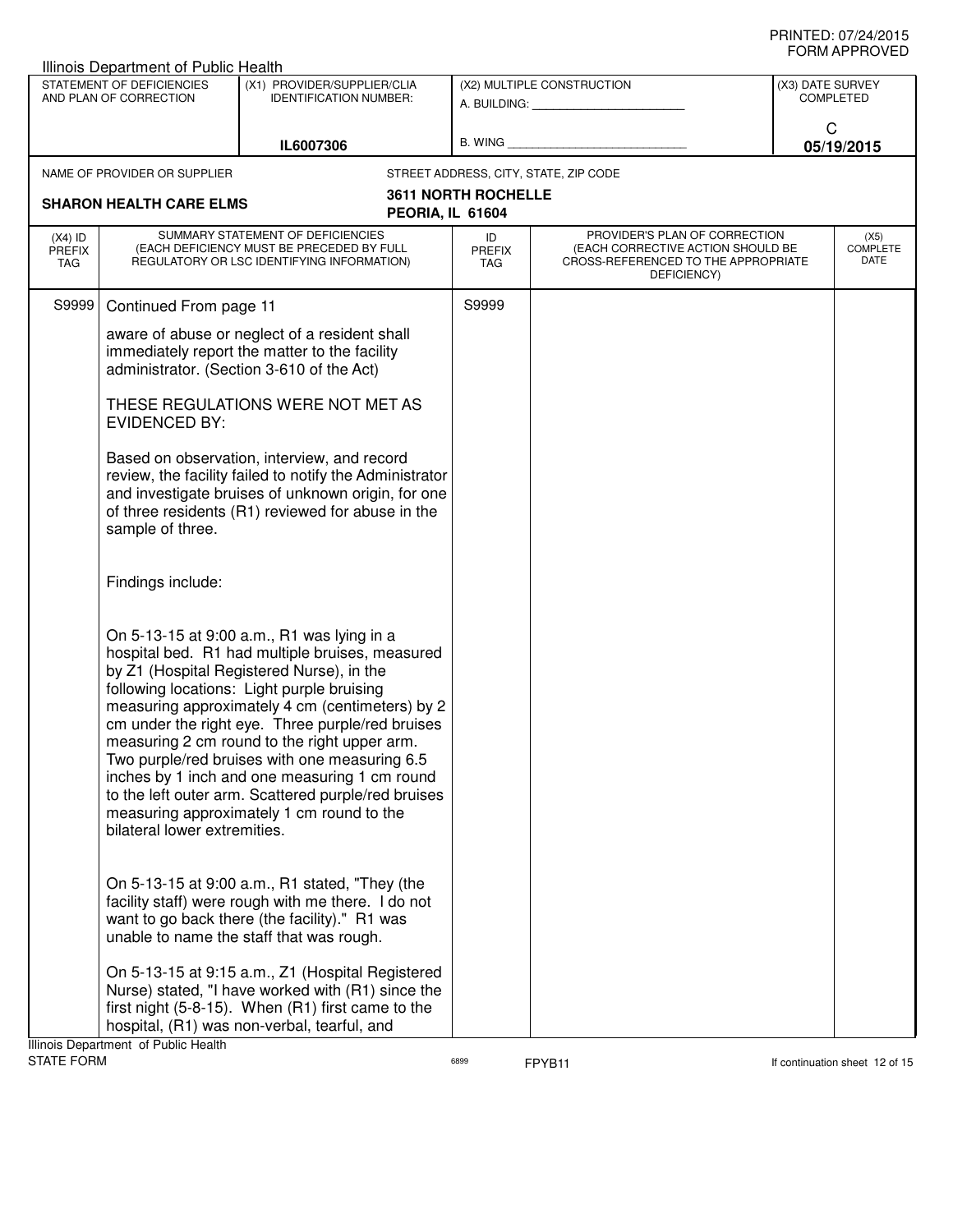|                            | <b>Illinois Department of Public Health</b>               |                                                                                                                                                                                                                                                                                                                                                                                                                                                                                                                                                       |                            |                                                                                                                          |                  |                                 |
|----------------------------|-----------------------------------------------------------|-------------------------------------------------------------------------------------------------------------------------------------------------------------------------------------------------------------------------------------------------------------------------------------------------------------------------------------------------------------------------------------------------------------------------------------------------------------------------------------------------------------------------------------------------------|----------------------------|--------------------------------------------------------------------------------------------------------------------------|------------------|---------------------------------|
|                            | STATEMENT OF DEFICIENCIES<br>AND PLAN OF CORRECTION       | (X1) PROVIDER/SUPPLIER/CLIA<br><b>IDENTIFICATION NUMBER:</b>                                                                                                                                                                                                                                                                                                                                                                                                                                                                                          |                            | (X2) MULTIPLE CONSTRUCTION<br>A. BUILDING: A. BUILDING:                                                                  | (X3) DATE SURVEY | <b>COMPLETED</b>                |
|                            |                                                           | IL6007306                                                                                                                                                                                                                                                                                                                                                                                                                                                                                                                                             | B. WING                    |                                                                                                                          | C                | 05/19/2015                      |
|                            | NAME OF PROVIDER OR SUPPLIER                              |                                                                                                                                                                                                                                                                                                                                                                                                                                                                                                                                                       |                            | STREET ADDRESS, CITY, STATE, ZIP CODE                                                                                    |                  |                                 |
|                            | <b>SHARON HEALTH CARE ELMS</b>                            | PEORIA, IL 61604                                                                                                                                                                                                                                                                                                                                                                                                                                                                                                                                      | <b>3611 NORTH ROCHELLE</b> |                                                                                                                          |                  |                                 |
| $(X4)$ ID<br>PREFIX<br>TAG |                                                           | SUMMARY STATEMENT OF DEFICIENCIES<br>(EACH DEFICIENCY MUST BE PRECEDED BY FULL<br>REGULATORY OR LSC IDENTIFYING INFORMATION)                                                                                                                                                                                                                                                                                                                                                                                                                          | ID<br><b>PREFIX</b><br>TAG | PROVIDER'S PLAN OF CORRECTION<br>(EACH CORRECTIVE ACTION SHOULD BE<br>CROSS-REFERENCED TO THE APPROPRIATE<br>DEFICIENCY) |                  | (X5)<br><b>COMPLETE</b><br>DATE |
| S9999                      | Continued From page 11                                    |                                                                                                                                                                                                                                                                                                                                                                                                                                                                                                                                                       | S9999                      |                                                                                                                          |                  |                                 |
|                            |                                                           | aware of abuse or neglect of a resident shall<br>immediately report the matter to the facility<br>administrator. (Section 3-610 of the Act)                                                                                                                                                                                                                                                                                                                                                                                                           |                            |                                                                                                                          |                  |                                 |
|                            | THESE REGULATIONS WERE NOT MET AS<br><b>EVIDENCED BY:</b> |                                                                                                                                                                                                                                                                                                                                                                                                                                                                                                                                                       |                            |                                                                                                                          |                  |                                 |
|                            | sample of three.                                          | Based on observation, interview, and record<br>review, the facility failed to notify the Administrator<br>and investigate bruises of unknown origin, for one<br>of three residents (R1) reviewed for abuse in the                                                                                                                                                                                                                                                                                                                                     |                            |                                                                                                                          |                  |                                 |
|                            | Findings include:                                         |                                                                                                                                                                                                                                                                                                                                                                                                                                                                                                                                                       |                            |                                                                                                                          |                  |                                 |
|                            | bilateral lower extremities.                              | On 5-13-15 at 9:00 a.m., R1 was lying in a<br>hospital bed. R1 had multiple bruises, measured<br>by Z1 (Hospital Registered Nurse), in the<br>following locations: Light purple bruising<br>measuring approximately 4 cm (centimeters) by 2<br>cm under the right eye. Three purple/red bruises<br>measuring 2 cm round to the right upper arm.<br>Two purple/red bruises with one measuring 6.5<br>inches by 1 inch and one measuring 1 cm round<br>to the left outer arm. Scattered purple/red bruises<br>measuring approximately 1 cm round to the |                            |                                                                                                                          |                  |                                 |
|                            |                                                           | On 5-13-15 at 9:00 a.m., R1 stated, "They (the<br>facility staff) were rough with me there. I do not<br>want to go back there (the facility)." R1 was<br>unable to name the staff that was rough.                                                                                                                                                                                                                                                                                                                                                     |                            |                                                                                                                          |                  |                                 |
|                            | Illinois Department of Public Health                      | On 5-13-15 at 9:15 a.m., Z1 (Hospital Registered<br>Nurse) stated, "I have worked with (R1) since the<br>first night (5-8-15). When (R1) first came to the<br>hospital, (R1) was non-verbal, tearful, and                                                                                                                                                                                                                                                                                                                                             |                            |                                                                                                                          |                  |                                 |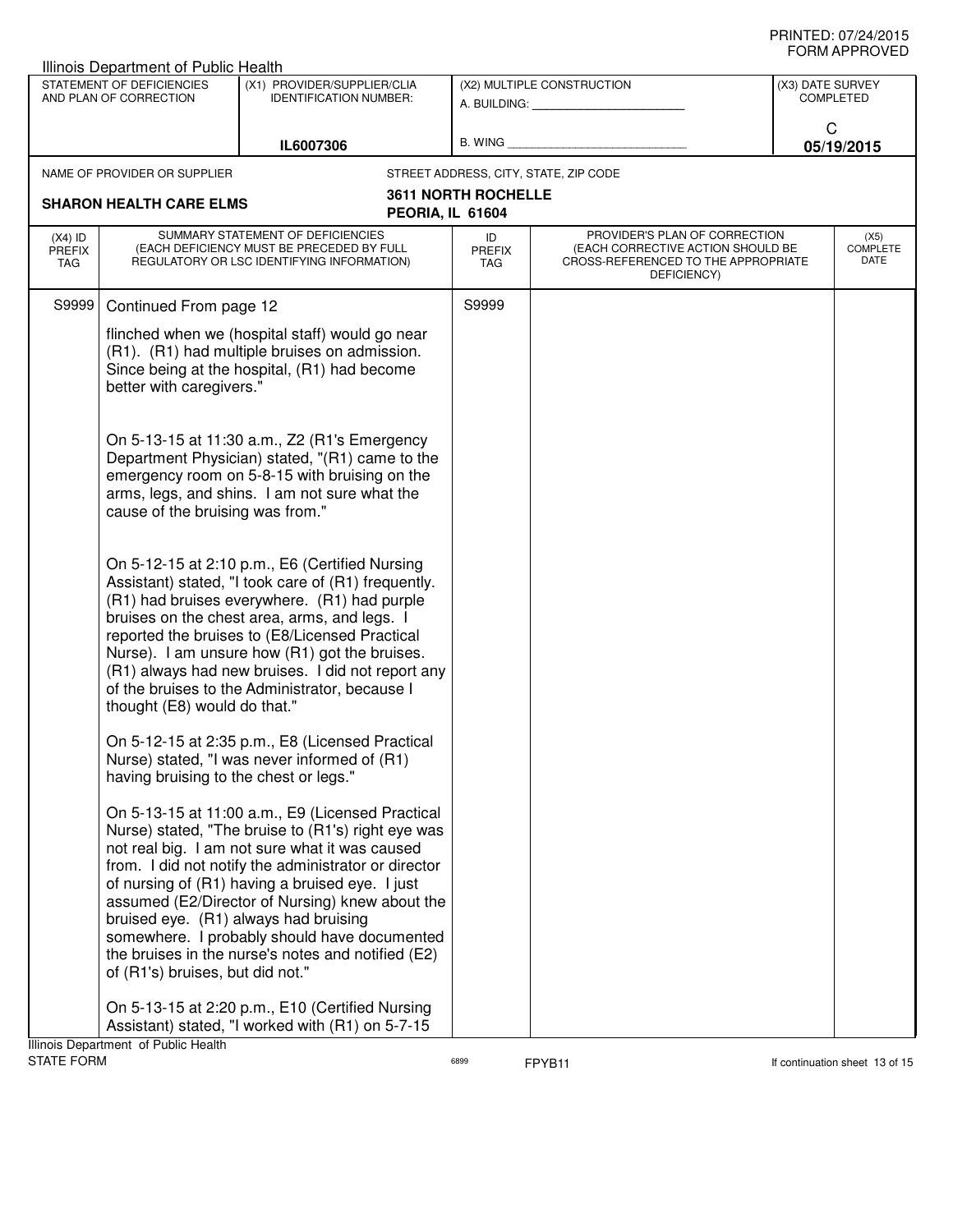|                                                     | Illinois Department of Public Health                                                                                                                                         |                                                                                                                                                                                                                                                                                                                                                                                                                                                                       |                                   |                                                                                                                          |                                      |  |
|-----------------------------------------------------|------------------------------------------------------------------------------------------------------------------------------------------------------------------------------|-----------------------------------------------------------------------------------------------------------------------------------------------------------------------------------------------------------------------------------------------------------------------------------------------------------------------------------------------------------------------------------------------------------------------------------------------------------------------|-----------------------------------|--------------------------------------------------------------------------------------------------------------------------|--------------------------------------|--|
| STATEMENT OF DEFICIENCIES<br>AND PLAN OF CORRECTION |                                                                                                                                                                              | (X1) PROVIDER/SUPPLIER/CLIA<br><b>IDENTIFICATION NUMBER:</b>                                                                                                                                                                                                                                                                                                                                                                                                          | (X2) MULTIPLE CONSTRUCTION        |                                                                                                                          | (X3) DATE SURVEY<br><b>COMPLETED</b> |  |
| IL6007306                                           |                                                                                                                                                                              | <b>B. WING</b>                                                                                                                                                                                                                                                                                                                                                                                                                                                        |                                   | C<br>05/19/2015                                                                                                          |                                      |  |
|                                                     | NAME OF PROVIDER OR SUPPLIER                                                                                                                                                 |                                                                                                                                                                                                                                                                                                                                                                                                                                                                       |                                   | STREET ADDRESS, CITY, STATE, ZIP CODE                                                                                    |                                      |  |
|                                                     | <b>SHARON HEALTH CARE ELMS</b>                                                                                                                                               | PEORIA, IL 61604                                                                                                                                                                                                                                                                                                                                                                                                                                                      | <b>3611 NORTH ROCHELLE</b>        |                                                                                                                          |                                      |  |
| $(X4)$ ID<br><b>PREFIX</b><br>TAG                   | SUMMARY STATEMENT OF DEFICIENCIES<br>(EACH DEFICIENCY MUST BE PRECEDED BY FULL<br>REGULATORY OR LSC IDENTIFYING INFORMATION)                                                 |                                                                                                                                                                                                                                                                                                                                                                                                                                                                       | ID<br><b>PREFIX</b><br><b>TAG</b> | PROVIDER'S PLAN OF CORRECTION<br>(EACH CORRECTIVE ACTION SHOULD BE<br>CROSS-REFERENCED TO THE APPROPRIATE<br>DEFICIENCY) | (X5)<br><b>COMPLETE</b><br>DATE      |  |
| S9999                                               | Continued From page 12                                                                                                                                                       |                                                                                                                                                                                                                                                                                                                                                                                                                                                                       | S9999                             |                                                                                                                          |                                      |  |
|                                                     | flinched when we (hospital staff) would go near<br>(R1). (R1) had multiple bruises on admission.<br>Since being at the hospital, (R1) had become<br>better with caregivers." |                                                                                                                                                                                                                                                                                                                                                                                                                                                                       |                                   |                                                                                                                          |                                      |  |
|                                                     | cause of the bruising was from."                                                                                                                                             | On 5-13-15 at 11:30 a.m., Z2 (R1's Emergency<br>Department Physician) stated, "(R1) came to the<br>emergency room on 5-8-15 with bruising on the<br>arms, legs, and shins. I am not sure what the                                                                                                                                                                                                                                                                     |                                   |                                                                                                                          |                                      |  |
|                                                     | thought (E8) would do that."                                                                                                                                                 | On 5-12-15 at 2:10 p.m., E6 (Certified Nursing<br>Assistant) stated, "I took care of (R1) frequently.<br>(R1) had bruises everywhere. (R1) had purple<br>bruises on the chest area, arms, and legs. I<br>reported the bruises to (E8/Licensed Practical<br>Nurse). I am unsure how (R1) got the bruises.<br>(R1) always had new bruises. I did not report any<br>of the bruises to the Administrator, because I                                                       |                                   |                                                                                                                          |                                      |  |
|                                                     | having bruising to the chest or legs."                                                                                                                                       | On 5-12-15 at 2:35 p.m., E8 (Licensed Practical<br>Nurse) stated, "I was never informed of (R1)                                                                                                                                                                                                                                                                                                                                                                       |                                   |                                                                                                                          |                                      |  |
|                                                     | of (R1's) bruises, but did not."                                                                                                                                             | On 5-13-15 at 11:00 a.m., E9 (Licensed Practical<br>Nurse) stated, "The bruise to (R1's) right eye was<br>not real big. I am not sure what it was caused<br>from. I did not notify the administrator or director<br>of nursing of (R1) having a bruised eye. I just<br>assumed (E2/Director of Nursing) knew about the<br>bruised eye. (R1) always had bruising<br>somewhere. I probably should have documented<br>the bruises in the nurse's notes and notified (E2) |                                   |                                                                                                                          |                                      |  |
|                                                     | Illinois Department of Public Health                                                                                                                                         | On 5-13-15 at 2:20 p.m., E10 (Certified Nursing<br>Assistant) stated, "I worked with (R1) on 5-7-15                                                                                                                                                                                                                                                                                                                                                                   |                                   |                                                                                                                          |                                      |  |

STATE FORM **EXAMPLE 13** of 15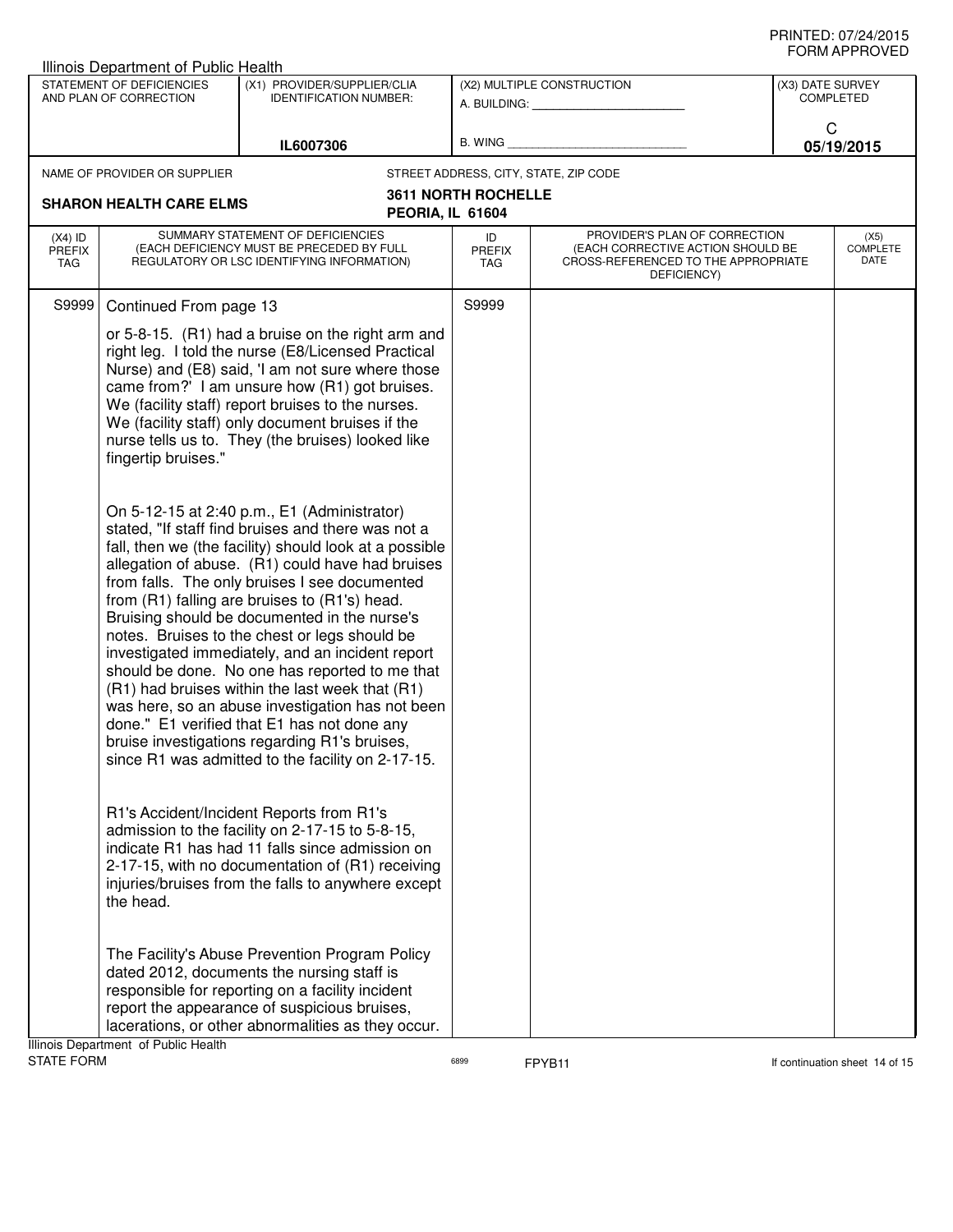| Illinois Department of Public Health                      |                                                                                                                                                                                                                                                                                                                                                                                                                                                                                                                                                                                                                                                                                                                                                                                                                                                                                                                                                                                                                                                                                                                                                                                                                                                                   |                                                         |                                                                                                                          |                                      |                                 |
|-----------------------------------------------------------|-------------------------------------------------------------------------------------------------------------------------------------------------------------------------------------------------------------------------------------------------------------------------------------------------------------------------------------------------------------------------------------------------------------------------------------------------------------------------------------------------------------------------------------------------------------------------------------------------------------------------------------------------------------------------------------------------------------------------------------------------------------------------------------------------------------------------------------------------------------------------------------------------------------------------------------------------------------------------------------------------------------------------------------------------------------------------------------------------------------------------------------------------------------------------------------------------------------------------------------------------------------------|---------------------------------------------------------|--------------------------------------------------------------------------------------------------------------------------|--------------------------------------|---------------------------------|
| STATEMENT OF DEFICIENCIES<br>AND PLAN OF CORRECTION       | (X1) PROVIDER/SUPPLIER/CLIA<br><b>IDENTIFICATION NUMBER:</b>                                                                                                                                                                                                                                                                                                                                                                                                                                                                                                                                                                                                                                                                                                                                                                                                                                                                                                                                                                                                                                                                                                                                                                                                      | (X2) MULTIPLE CONSTRUCTION<br>A. BUILDING: A. BUILDING: |                                                                                                                          | (X3) DATE SURVEY<br><b>COMPLETED</b> |                                 |
|                                                           | IL6007306                                                                                                                                                                                                                                                                                                                                                                                                                                                                                                                                                                                                                                                                                                                                                                                                                                                                                                                                                                                                                                                                                                                                                                                                                                                         | B. WING                                                 |                                                                                                                          | C                                    | 05/19/2015                      |
| NAME OF PROVIDER OR SUPPLIER                              |                                                                                                                                                                                                                                                                                                                                                                                                                                                                                                                                                                                                                                                                                                                                                                                                                                                                                                                                                                                                                                                                                                                                                                                                                                                                   |                                                         | STREET ADDRESS, CITY, STATE, ZIP CODE                                                                                    |                                      |                                 |
| <b>SHARON HEALTH CARE ELMS</b>                            |                                                                                                                                                                                                                                                                                                                                                                                                                                                                                                                                                                                                                                                                                                                                                                                                                                                                                                                                                                                                                                                                                                                                                                                                                                                                   | <b>3611 NORTH ROCHELLE</b>                              |                                                                                                                          |                                      |                                 |
|                                                           | PEORIA, IL 61604                                                                                                                                                                                                                                                                                                                                                                                                                                                                                                                                                                                                                                                                                                                                                                                                                                                                                                                                                                                                                                                                                                                                                                                                                                                  |                                                         |                                                                                                                          |                                      |                                 |
| $(X4)$ ID<br>PREFIX<br>TAG                                | SUMMARY STATEMENT OF DEFICIENCIES<br>(EACH DEFICIENCY MUST BE PRECEDED BY FULL<br>REGULATORY OR LSC IDENTIFYING INFORMATION)                                                                                                                                                                                                                                                                                                                                                                                                                                                                                                                                                                                                                                                                                                                                                                                                                                                                                                                                                                                                                                                                                                                                      | ID<br><b>PREFIX</b><br>TAG                              | PROVIDER'S PLAN OF CORRECTION<br>(EACH CORRECTIVE ACTION SHOULD BE<br>CROSS-REFERENCED TO THE APPROPRIATE<br>DEFICIENCY) |                                      | (X5)<br><b>COMPLETE</b><br>DATE |
| S9999<br>Continued From page 13                           |                                                                                                                                                                                                                                                                                                                                                                                                                                                                                                                                                                                                                                                                                                                                                                                                                                                                                                                                                                                                                                                                                                                                                                                                                                                                   | S9999                                                   |                                                                                                                          |                                      |                                 |
| fingertip bruises."                                       | or 5-8-15. (R1) had a bruise on the right arm and<br>right leg. I told the nurse (E8/Licensed Practical<br>Nurse) and (E8) said, 'I am not sure where those<br>came from?' I am unsure how (R1) got bruises.<br>We (facility staff) report bruises to the nurses.<br>We (facility staff) only document bruises if the<br>nurse tells us to. They (the bruises) looked like<br>On 5-12-15 at 2:40 p.m., E1 (Administrator)<br>stated, "If staff find bruises and there was not a<br>fall, then we (the facility) should look at a possible<br>allegation of abuse. (R1) could have had bruises<br>from falls. The only bruises I see documented<br>from (R1) falling are bruises to (R1's) head.<br>Bruising should be documented in the nurse's<br>notes. Bruises to the chest or legs should be<br>investigated immediately, and an incident report<br>should be done. No one has reported to me that<br>(R1) had bruises within the last week that (R1)<br>was here, so an abuse investigation has not been<br>done." E1 verified that E1 has not done any<br>bruise investigations regarding R1's bruises,<br>since R1 was admitted to the facility on 2-17-15.<br>R1's Accident/Incident Reports from R1's<br>admission to the facility on 2-17-15 to 5-8-15, |                                                         |                                                                                                                          |                                      |                                 |
| the head.                                                 | indicate R1 has had 11 falls since admission on<br>2-17-15, with no documentation of (R1) receiving<br>injuries/bruises from the falls to anywhere except                                                                                                                                                                                                                                                                                                                                                                                                                                                                                                                                                                                                                                                                                                                                                                                                                                                                                                                                                                                                                                                                                                         |                                                         |                                                                                                                          |                                      |                                 |
|                                                           | The Facility's Abuse Prevention Program Policy<br>dated 2012, documents the nursing staff is<br>responsible for reporting on a facility incident<br>report the appearance of suspicious bruises,<br>lacerations, or other abnormalities as they occur.                                                                                                                                                                                                                                                                                                                                                                                                                                                                                                                                                                                                                                                                                                                                                                                                                                                                                                                                                                                                            |                                                         |                                                                                                                          |                                      |                                 |
| Illinois Department of Public Health<br><b>STATE FORM</b> |                                                                                                                                                                                                                                                                                                                                                                                                                                                                                                                                                                                                                                                                                                                                                                                                                                                                                                                                                                                                                                                                                                                                                                                                                                                                   | 6899                                                    | FPYB11                                                                                                                   |                                      | If continuation sheet 14 of 15  |